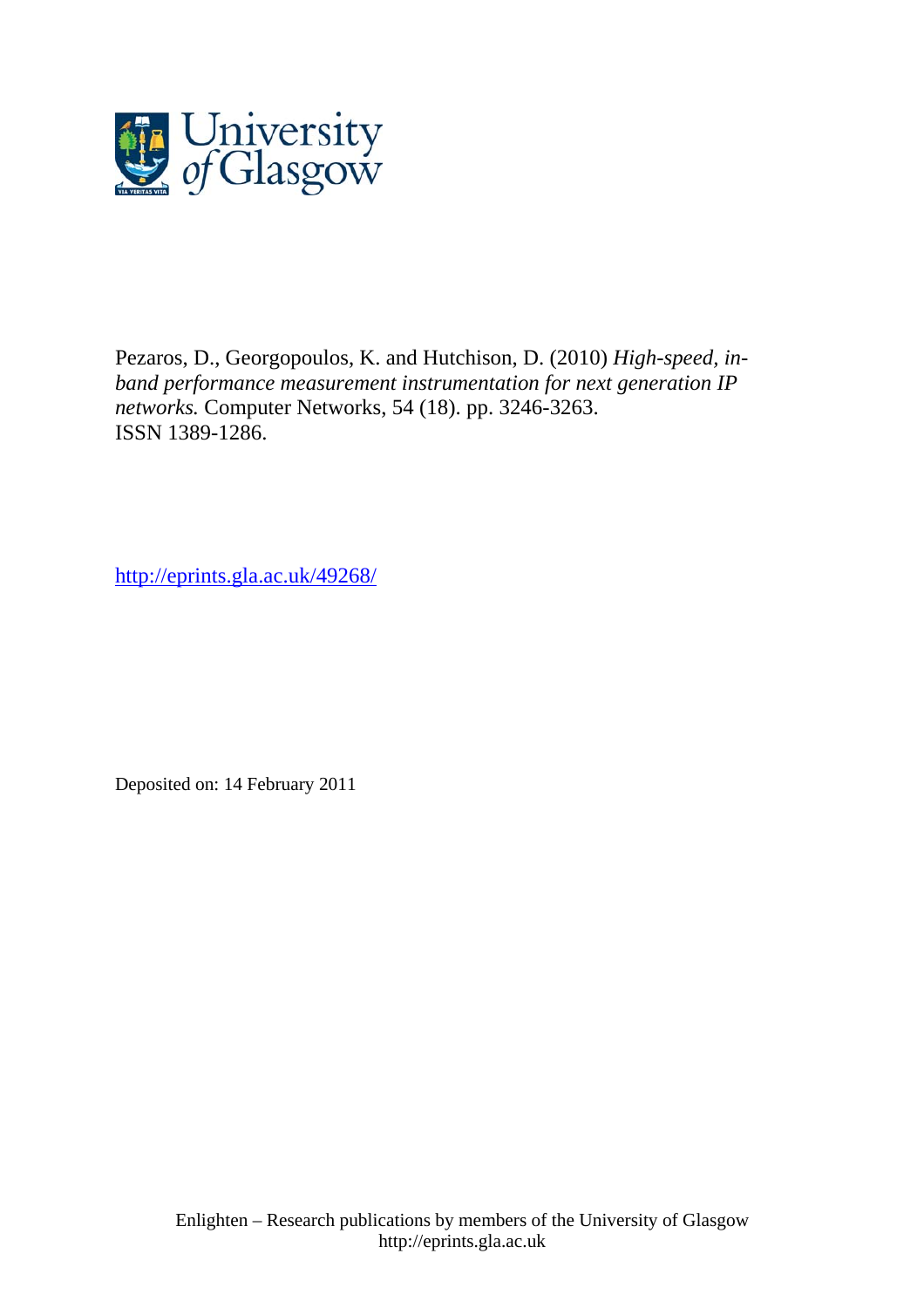

Pezaros, D., Georgopoulos, K. and Hutchison, D. (2010) *High-speed, inband performance measurement instrumentation for next generation IP networks.* Computer Networks, 54 (18). pp. 3246-3263. ISSN 1389-1286.

http://eprints.gla.ac.uk/49268/

Deposited on: 14 February 2011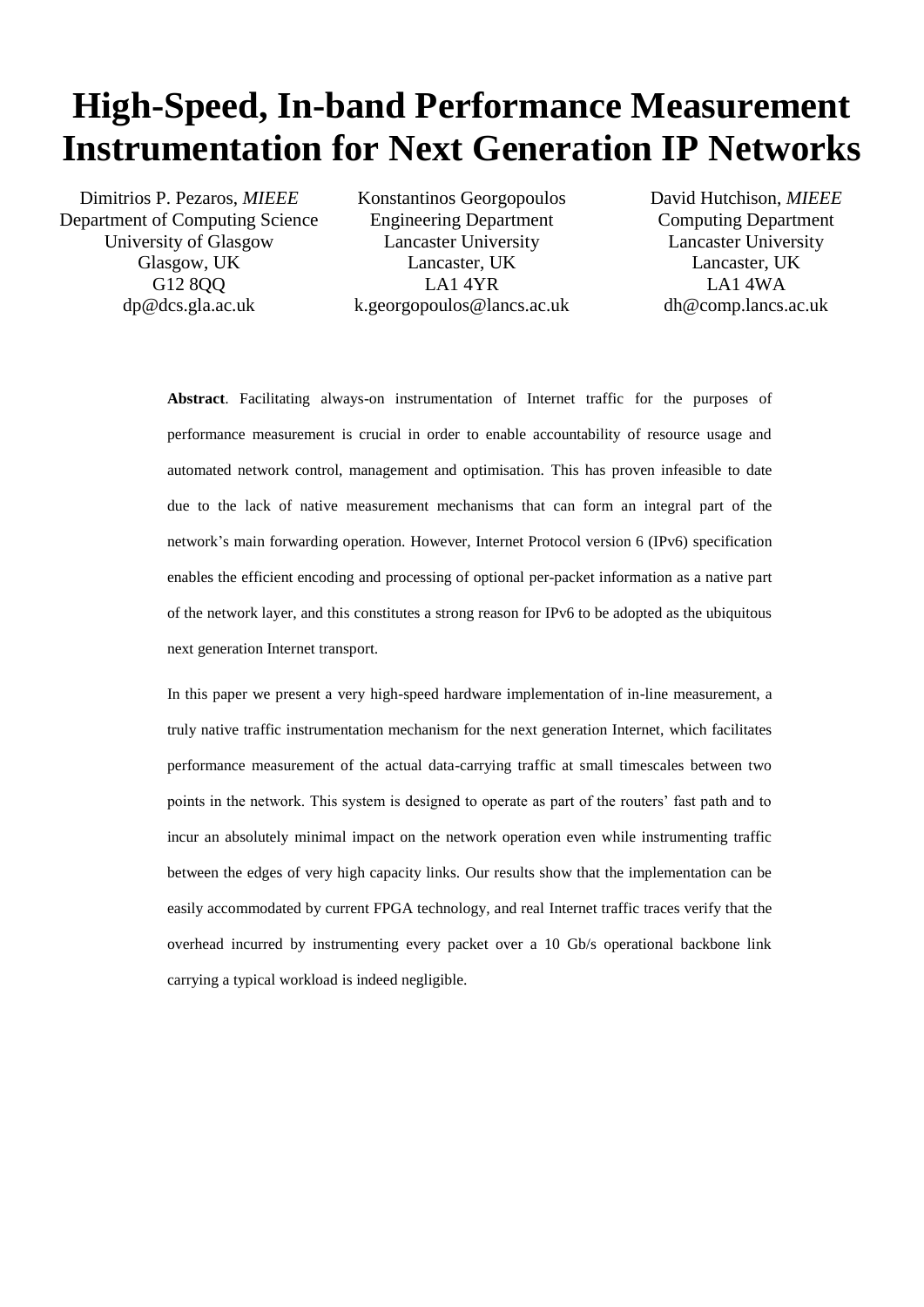# **High-Speed, In-band Performance Measurement Instrumentation for Next Generation IP Networks**

Dimitrios P. Pezaros, *MIEEE* Department of Computing Science University of Glasgow Glasgow, UK G12 8QQ dp@dcs.gla.ac.uk

Konstantinos Georgopoulos Engineering Department Lancaster University Lancaster, UK LA1 4YR k.georgopoulos@lancs.ac.uk David Hutchison, *MIEEE* Computing Department Lancaster University Lancaster, UK LA1 4WA dh@comp.lancs.ac.uk

**Abstract**. Facilitating always-on instrumentation of Internet traffic for the purposes of performance measurement is crucial in order to enable accountability of resource usage and automated network control, management and optimisation. This has proven infeasible to date due to the lack of native measurement mechanisms that can form an integral part of the network"s main forwarding operation. However, Internet Protocol version 6 (IPv6) specification enables the efficient encoding and processing of optional per-packet information as a native part of the network layer, and this constitutes a strong reason for IPv6 to be adopted as the ubiquitous next generation Internet transport.

In this paper we present a very high-speed hardware implementation of in-line measurement, a truly native traffic instrumentation mechanism for the next generation Internet, which facilitates performance measurement of the actual data-carrying traffic at small timescales between two points in the network. This system is designed to operate as part of the routers" fast path and to incur an absolutely minimal impact on the network operation even while instrumenting traffic between the edges of very high capacity links. Our results show that the implementation can be easily accommodated by current FPGA technology, and real Internet traffic traces verify that the overhead incurred by instrumenting every packet over a 10 Gb/s operational backbone link carrying a typical workload is indeed negligible.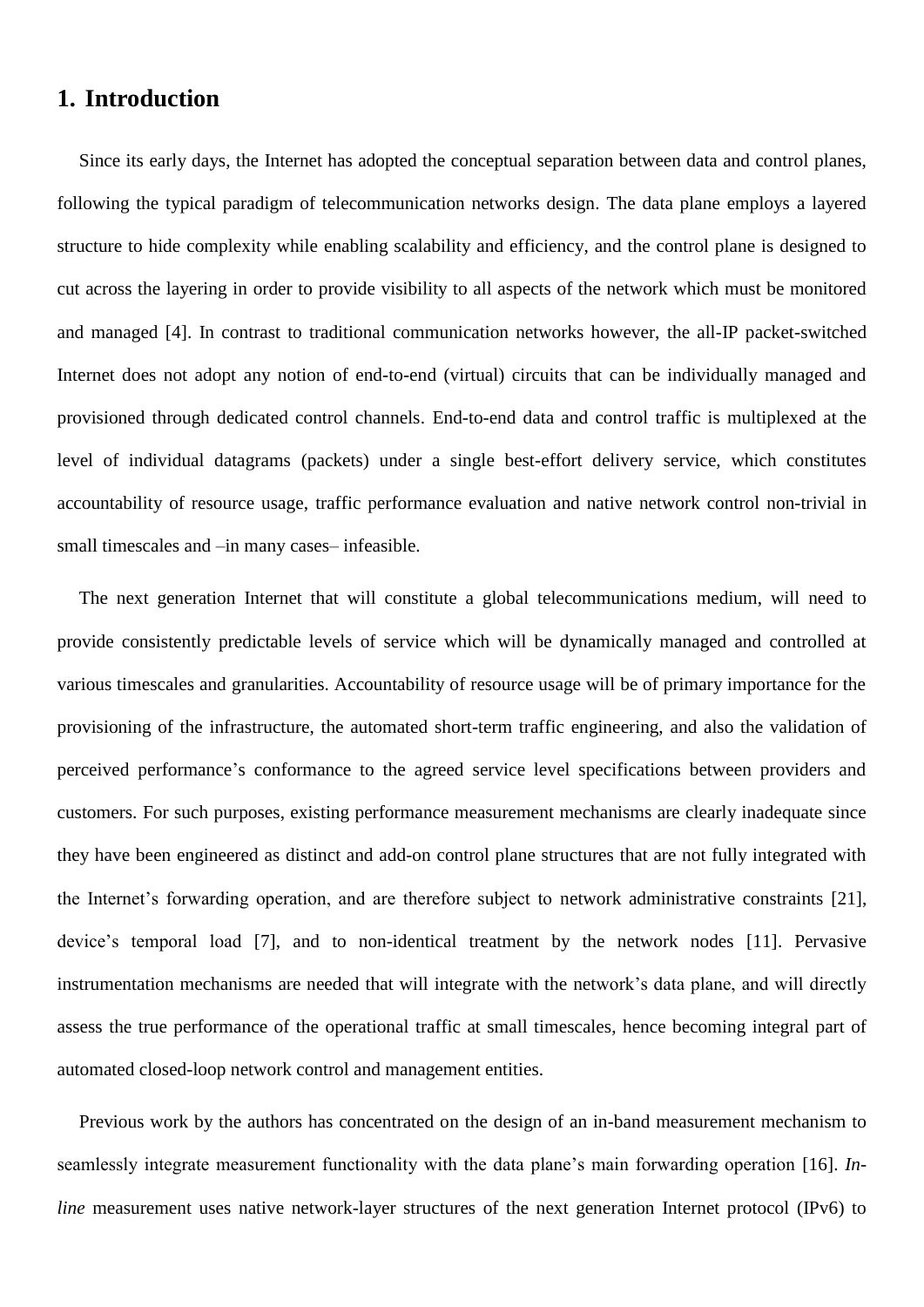# **1. Introduction**

Since its early days, the Internet has adopted the conceptual separation between data and control planes, following the typical paradigm of telecommunication networks design. The data plane employs a layered structure to hide complexity while enabling scalability and efficiency, and the control plane is designed to cut across the layering in order to provide visibility to all aspects of the network which must be monitored and managed [\[4\].](#page-37-0) In contrast to traditional communication networks however, the all-IP packet-switched Internet does not adopt any notion of end-to-end (virtual) circuits that can be individually managed and provisioned through dedicated control channels. End-to-end data and control traffic is multiplexed at the level of individual datagrams (packets) under a single best-effort delivery service, which constitutes accountability of resource usage, traffic performance evaluation and native network control non-trivial in small timescales and –in many cases– infeasible.

The next generation Internet that will constitute a global telecommunications medium, will need to provide consistently predictable levels of service which will be dynamically managed and controlled at various timescales and granularities. Accountability of resource usage will be of primary importance for the provisioning of the infrastructure, the automated short-term traffic engineering, and also the validation of perceived performance"s conformance to the agreed service level specifications between providers and customers. For such purposes, existing performance measurement mechanisms are clearly inadequate since they have been engineered as distinct and add-on control plane structures that are not fully integrated with the Internet"s forwarding operation, and are therefore subject to network administrative constraints [\[21\],](#page-37-1) device"s temporal load [\[7\],](#page-37-2) and to non-identical treatment by the network nodes [\[11\].](#page-37-3) Pervasive instrumentation mechanisms are needed that will integrate with the network"s data plane, and will directly assess the true performance of the operational traffic at small timescales, hence becoming integral part of automated closed-loop network control and management entities.

Previous work by the authors has concentrated on the design of an in-band measurement mechanism to seamlessly integrate measurement functionality with the data plane"s main forwarding operation [\[16\].](#page-37-4) *Inline* measurement uses native network-layer structures of the next generation Internet protocol (IPv6) to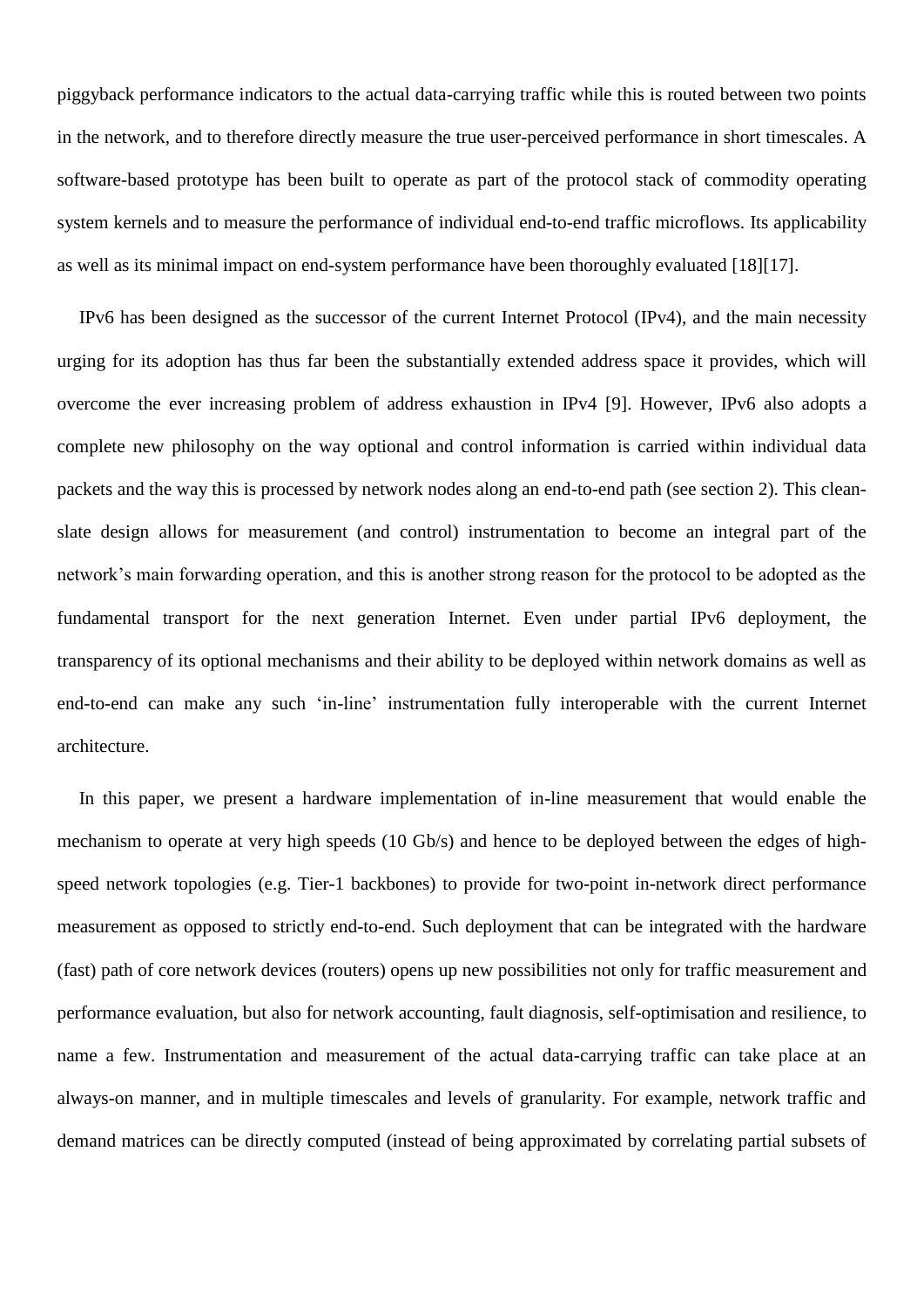piggyback performance indicators to the actual data-carrying traffic while this is routed between two points in the network, and to therefore directly measure the true user-perceived performance in short timescales. A software-based prototype has been built to operate as part of the protocol stack of commodity operating system kernels and to measure the performance of individual end-to-end traffic microflows. Its applicability as well as its minimal impact on end-system performance have been thoroughly evaluated [\[18\]\[17\].](#page-37-5)

IPv6 has been designed as the successor of the current Internet Protocol (IPv4), and the main necessity urging for its adoption has thus far been the substantially extended address space it provides, which will overcome the ever increasing problem of address exhaustion in IPv4 [\[9\].](#page-37-6) However, IPv6 also adopts a complete new philosophy on the way optional and control information is carried within individual data packets and the way this is processed by network nodes along an end-to-end path (see section [2\)](#page-4-0). This cleanslate design allows for measurement (and control) instrumentation to become an integral part of the network"s main forwarding operation, and this is another strong reason for the protocol to be adopted as the fundamental transport for the next generation Internet. Even under partial IPv6 deployment, the transparency of its optional mechanisms and their ability to be deployed within network domains as well as end-to-end can make any such 'in-line' instrumentation fully interoperable with the current Internet architecture.

In this paper, we present a hardware implementation of in-line measurement that would enable the mechanism to operate at very high speeds (10 Gb/s) and hence to be deployed between the edges of highspeed network topologies (e.g. Tier-1 backbones) to provide for two-point in-network direct performance measurement as opposed to strictly end-to-end. Such deployment that can be integrated with the hardware (fast) path of core network devices (routers) opens up new possibilities not only for traffic measurement and performance evaluation, but also for network accounting, fault diagnosis, self-optimisation and resilience, to name a few. Instrumentation and measurement of the actual data-carrying traffic can take place at an always-on manner, and in multiple timescales and levels of granularity. For example, network traffic and demand matrices can be directly computed (instead of being approximated by correlating partial subsets of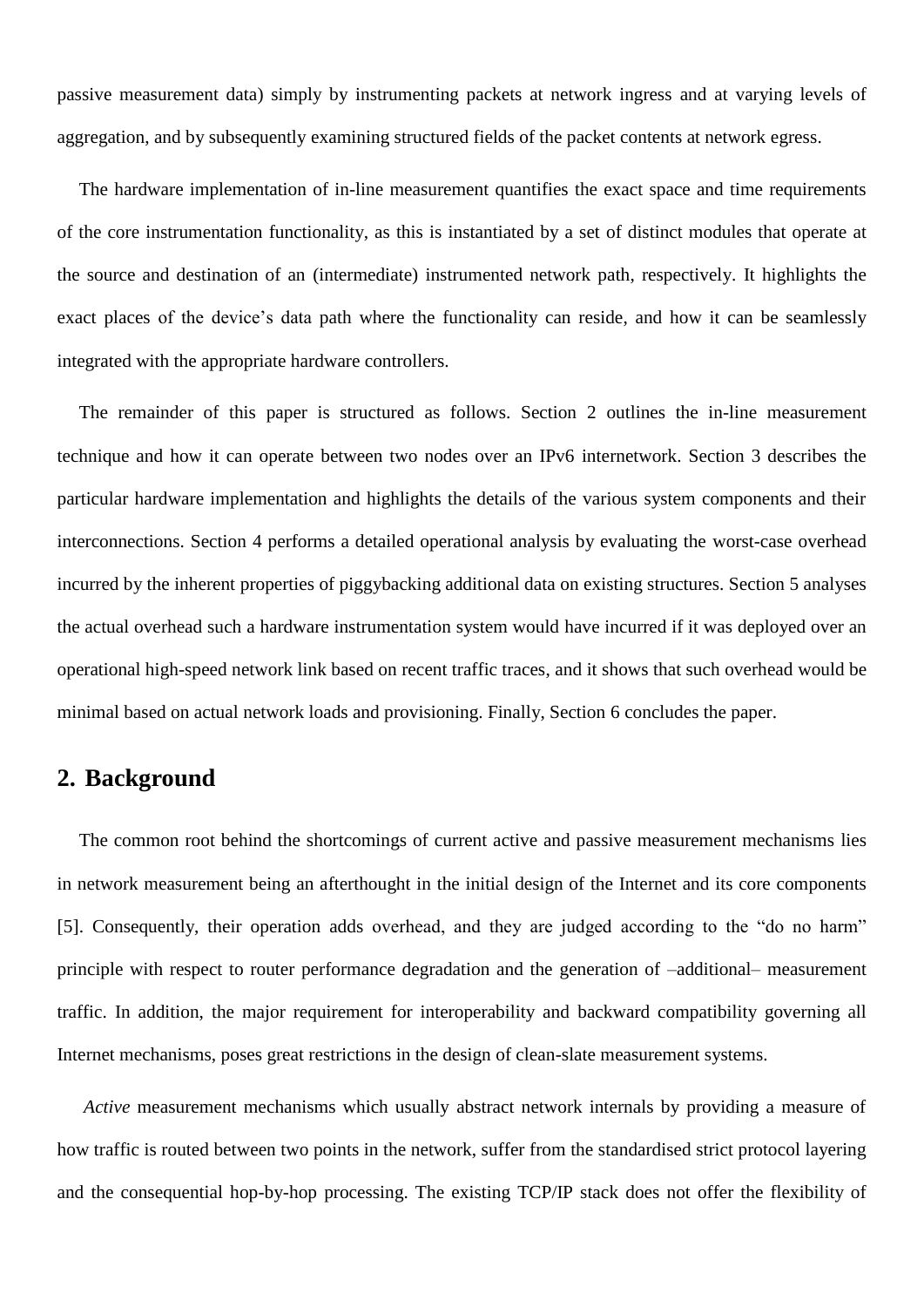passive measurement data) simply by instrumenting packets at network ingress and at varying levels of aggregation, and by subsequently examining structured fields of the packet contents at network egress.

The hardware implementation of in-line measurement quantifies the exact space and time requirements of the core instrumentation functionality, as this is instantiated by a set of distinct modules that operate at the source and destination of an (intermediate) instrumented network path, respectively. It highlights the exact places of the device's data path where the functionality can reside, and how it can be seamlessly integrated with the appropriate hardware controllers.

The remainder of this paper is structured as follows. Section [2](#page-4-0) outlines the in-line measurement technique and how it can operate between two nodes over an IPv6 internetwork. Section [3](#page-8-0) describes the particular hardware implementation and highlights the details of the various system components and their interconnections. Section [4](#page-25-0) performs a detailed operational analysis by evaluating the worst-case overhead incurred by the inherent properties of piggybacking additional data on existing structures. Section [5](#page-31-0) analyses the actual overhead such a hardware instrumentation system would have incurred if it was deployed over an operational high-speed network link based on recent traffic traces, and it shows that such overhead would be minimal based on actual network loads and provisioning. Finally, Section [6](#page-36-0) concludes the paper.

# <span id="page-4-0"></span>**2. Background**

The common root behind the shortcomings of current active and passive measurement mechanisms lies in network measurement being an afterthought in the initial design of the Internet and its core components [\[5\].](#page-37-7) Consequently, their operation adds overhead, and they are judged according to the "do no harm" principle with respect to router performance degradation and the generation of –additional– measurement traffic. In addition, the major requirement for interoperability and backward compatibility governing all Internet mechanisms, poses great restrictions in the design of clean-slate measurement systems.

*Active* measurement mechanisms which usually abstract network internals by providing a measure of how traffic is routed between two points in the network, suffer from the standardised strict protocol layering and the consequential hop-by-hop processing. The existing TCP/IP stack does not offer the flexibility of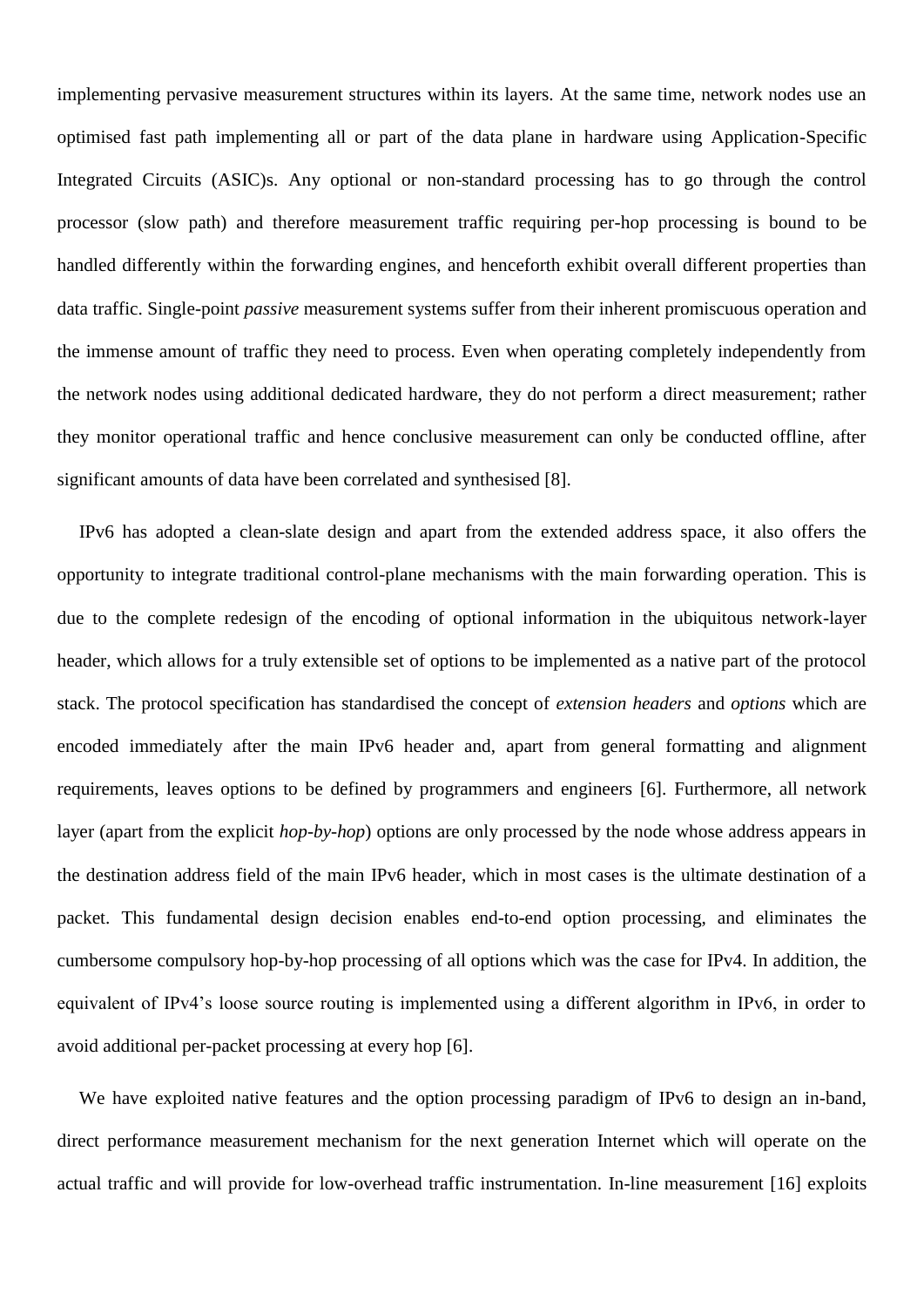implementing pervasive measurement structures within its layers. At the same time, network nodes use an optimised fast path implementing all or part of the data plane in hardware using Application-Specific Integrated Circuits (ASIC)s. Any optional or non-standard processing has to go through the control processor (slow path) and therefore measurement traffic requiring per-hop processing is bound to be handled differently within the forwarding engines, and henceforth exhibit overall different properties than data traffic. Single-point *passive* measurement systems suffer from their inherent promiscuous operation and the immense amount of traffic they need to process. Even when operating completely independently from the network nodes using additional dedicated hardware, they do not perform a direct measurement; rather they monitor operational traffic and hence conclusive measurement can only be conducted offline, after significant amounts of data have been correlated and synthesised [\[8\].](#page-37-8)

IPv6 has adopted a clean-slate design and apart from the extended address space, it also offers the opportunity to integrate traditional control-plane mechanisms with the main forwarding operation. This is due to the complete redesign of the encoding of optional information in the ubiquitous network-layer header, which allows for a truly extensible set of options to be implemented as a native part of the protocol stack. The protocol specification has standardised the concept of *extension headers* and *options* which are encoded immediately after the main IPv6 header and, apart from general formatting and alignment requirements, leaves options to be defined by programmers and engineers [\[6\].](#page-37-9) Furthermore, all network layer (apart from the explicit *hop-by-hop*) options are only processed by the node whose address appears in the destination address field of the main IPv6 header, which in most cases is the ultimate destination of a packet. This fundamental design decision enables end-to-end option processing, and eliminates the cumbersome compulsory hop-by-hop processing of all options which was the case for IPv4. In addition, the equivalent of IPv4"s loose source routing is implemented using a different algorithm in IPv6, in order to avoid additional per-packet processing at every hop [\[6\].](#page-37-9)

We have exploited native features and the option processing paradigm of IPv6 to design an in-band, direct performance measurement mechanism for the next generation Internet which will operate on the actual traffic and will provide for low-overhead traffic instrumentation. In-line measurement [\[16\]](#page-37-4) exploits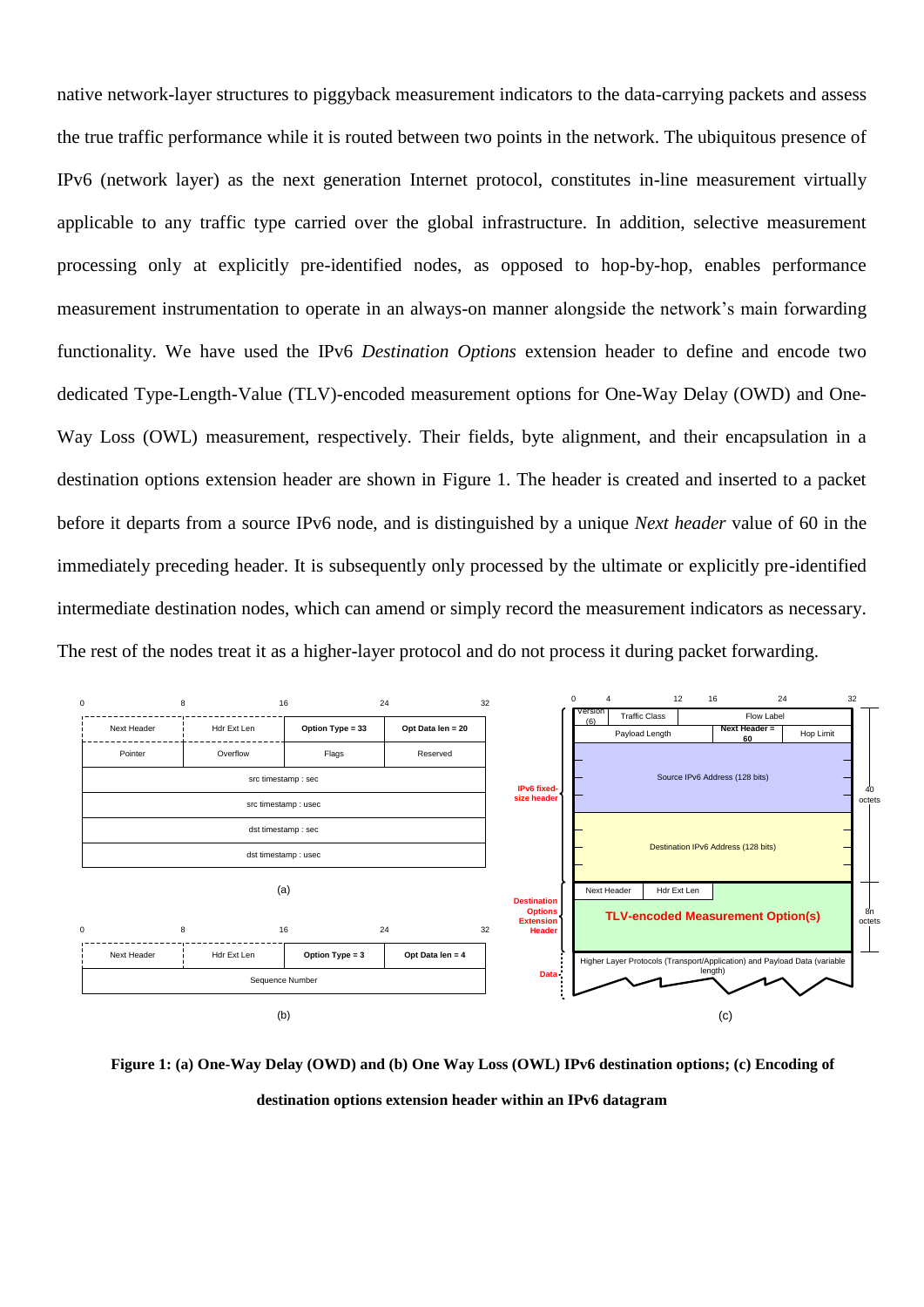native network-layer structures to piggyback measurement indicators to the data-carrying packets and assess the true traffic performance while it is routed between two points in the network. The ubiquitous presence of IPv6 (network layer) as the next generation Internet protocol, constitutes in-line measurement virtually applicable to any traffic type carried over the global infrastructure. In addition, selective measurement processing only at explicitly pre-identified nodes, as opposed to hop-by-hop, enables performance measurement instrumentation to operate in an always-on manner alongside the network"s main forwarding functionality. We have used the IPv6 *Destination Options* extension header to define and encode two dedicated Type-Length-Value (TLV)-encoded measurement options for One-Way Delay (OWD) and One-Way Loss (OWL) measurement, respectively. Their fields, byte alignment, and their encapsulation in a destination options extension header are shown in [Figure 1.](#page-6-0) The header is created and inserted to a packet before it departs from a source IPv6 node, and is distinguished by a unique *Next header* value of 60 in the immediately preceding header. It is subsequently only processed by the ultimate or explicitly pre-identified intermediate destination nodes, which can amend or simply record the measurement indicators as necessary. The rest of the nodes treat it as a higher-layer protocol and do not process it during packet forwarding.



<span id="page-6-0"></span>**Figure 1: (a) One-Way Delay (OWD) and (b) One Way Loss (OWL) IPv6 destination options; (c) Encoding of destination options extension header within an IPv6 datagram**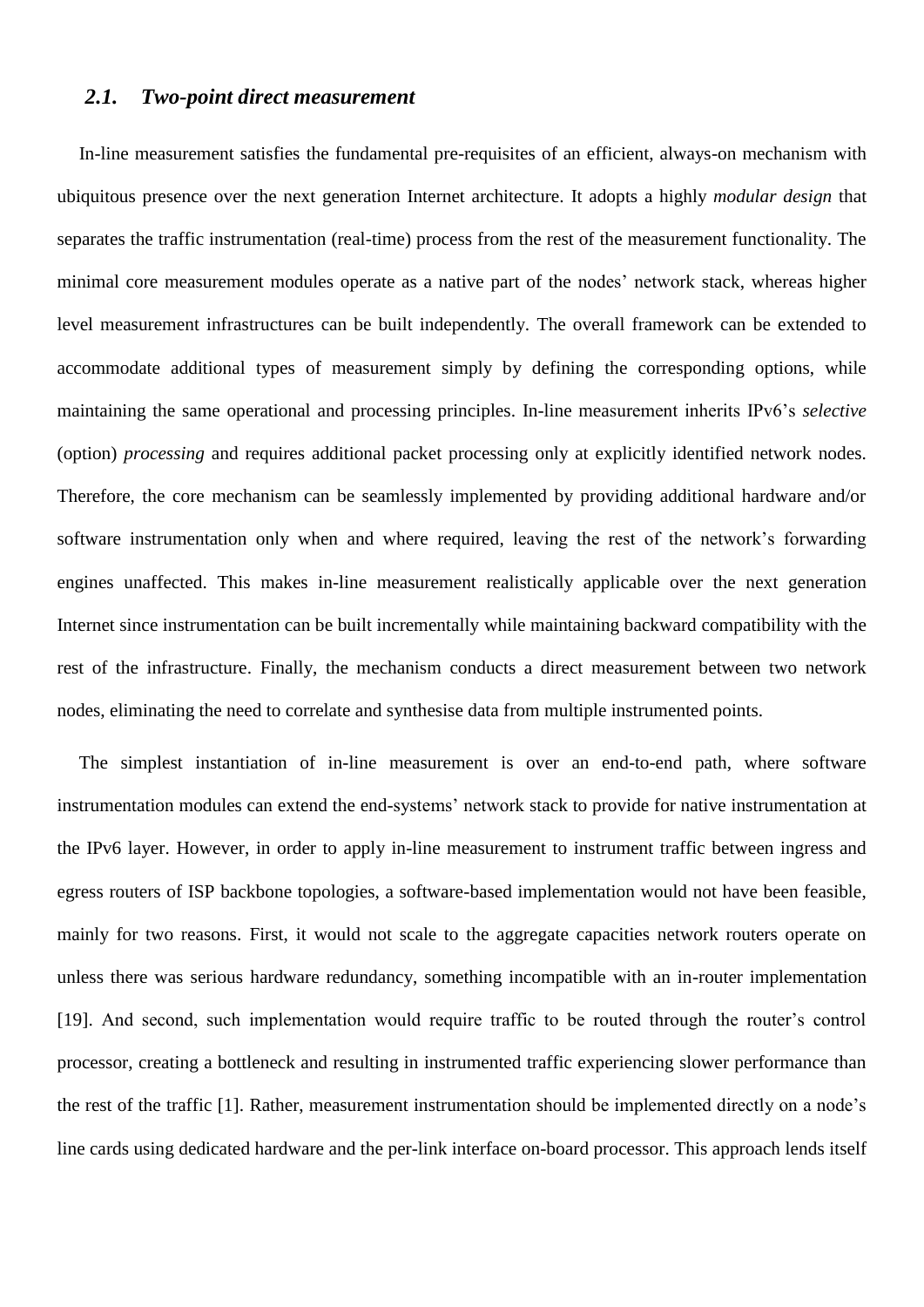## *2.1. Two-point direct measurement*

In-line measurement satisfies the fundamental pre-requisites of an efficient, always-on mechanism with ubiquitous presence over the next generation Internet architecture. It adopts a highly *modular design* that separates the traffic instrumentation (real-time) process from the rest of the measurement functionality. The minimal core measurement modules operate as a native part of the nodes' network stack, whereas higher level measurement infrastructures can be built independently. The overall framework can be extended to accommodate additional types of measurement simply by defining the corresponding options, while maintaining the same operational and processing principles. In-line measurement inherits IPv6"s *selective*  (option) *processing* and requires additional packet processing only at explicitly identified network nodes. Therefore, the core mechanism can be seamlessly implemented by providing additional hardware and/or software instrumentation only when and where required, leaving the rest of the network's forwarding engines unaffected. This makes in-line measurement realistically applicable over the next generation Internet since instrumentation can be built incrementally while maintaining backward compatibility with the rest of the infrastructure. Finally, the mechanism conducts a direct measurement between two network nodes, eliminating the need to correlate and synthesise data from multiple instrumented points.

The simplest instantiation of in-line measurement is over an end-to-end path, where software instrumentation modules can extend the end-systems' network stack to provide for native instrumentation at the IPv6 layer. However, in order to apply in-line measurement to instrument traffic between ingress and egress routers of ISP backbone topologies, a software-based implementation would not have been feasible, mainly for two reasons. First, it would not scale to the aggregate capacities network routers operate on unless there was serious hardware redundancy, something incompatible with an in-router implementation [\[19\].](#page-37-10) And second, such implementation would require traffic to be routed through the router's control processor, creating a bottleneck and resulting in instrumented traffic experiencing slower performance than the rest of the traffic [\[1\].](#page-37-11) Rather, measurement instrumentation should be implemented directly on a node"s line cards using dedicated hardware and the per-link interface on-board processor. This approach lends itself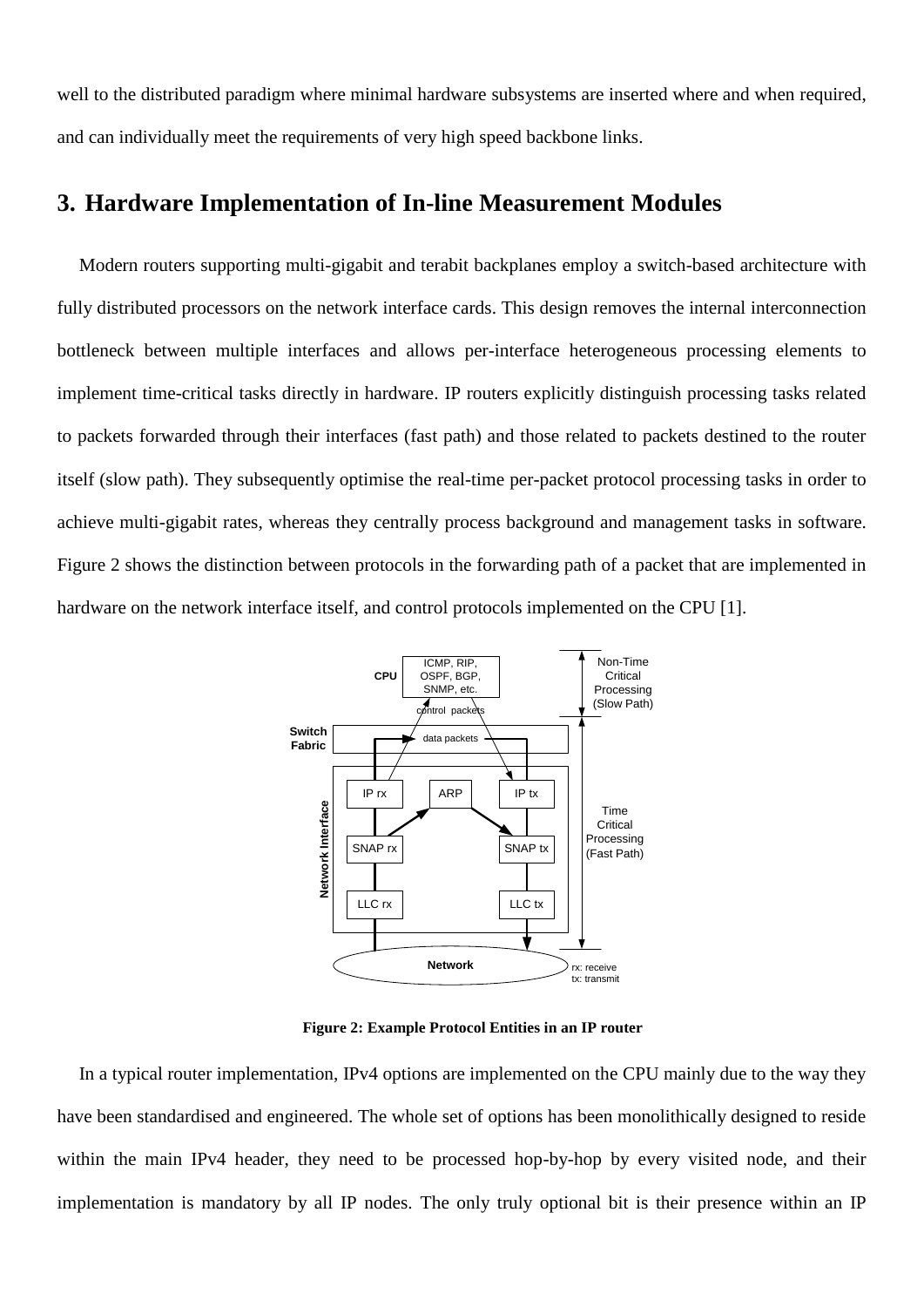well to the distributed paradigm where minimal hardware subsystems are inserted where and when required, and can individually meet the requirements of very high speed backbone links.

# <span id="page-8-0"></span>**3. Hardware Implementation of In-line Measurement Modules**

Modern routers supporting multi-gigabit and terabit backplanes employ a switch-based architecture with fully distributed processors on the network interface cards. This design removes the internal interconnection bottleneck between multiple interfaces and allows per-interface heterogeneous processing elements to implement time-critical tasks directly in hardware. IP routers explicitly distinguish processing tasks related to packets forwarded through their interfaces (fast path) and those related to packets destined to the router itself (slow path). They subsequently optimise the real-time per-packet protocol processing tasks in order to achieve multi-gigabit rates, whereas they centrally process background and management tasks in software. [Figure 2](#page-8-1) shows the distinction between protocols in the forwarding path of a packet that are implemented in hardware on the network interface itself, and control protocols implemented on the CPU [\[1\].](#page-37-11)



**Figure 2: Example Protocol Entities in an IP router**

<span id="page-8-1"></span>In a typical router implementation, IPv4 options are implemented on the CPU mainly due to the way they have been standardised and engineered. The whole set of options has been monolithically designed to reside within the main IPv4 header, they need to be processed hop-by-hop by every visited node, and their implementation is mandatory by all IP nodes. The only truly optional bit is their presence within an IP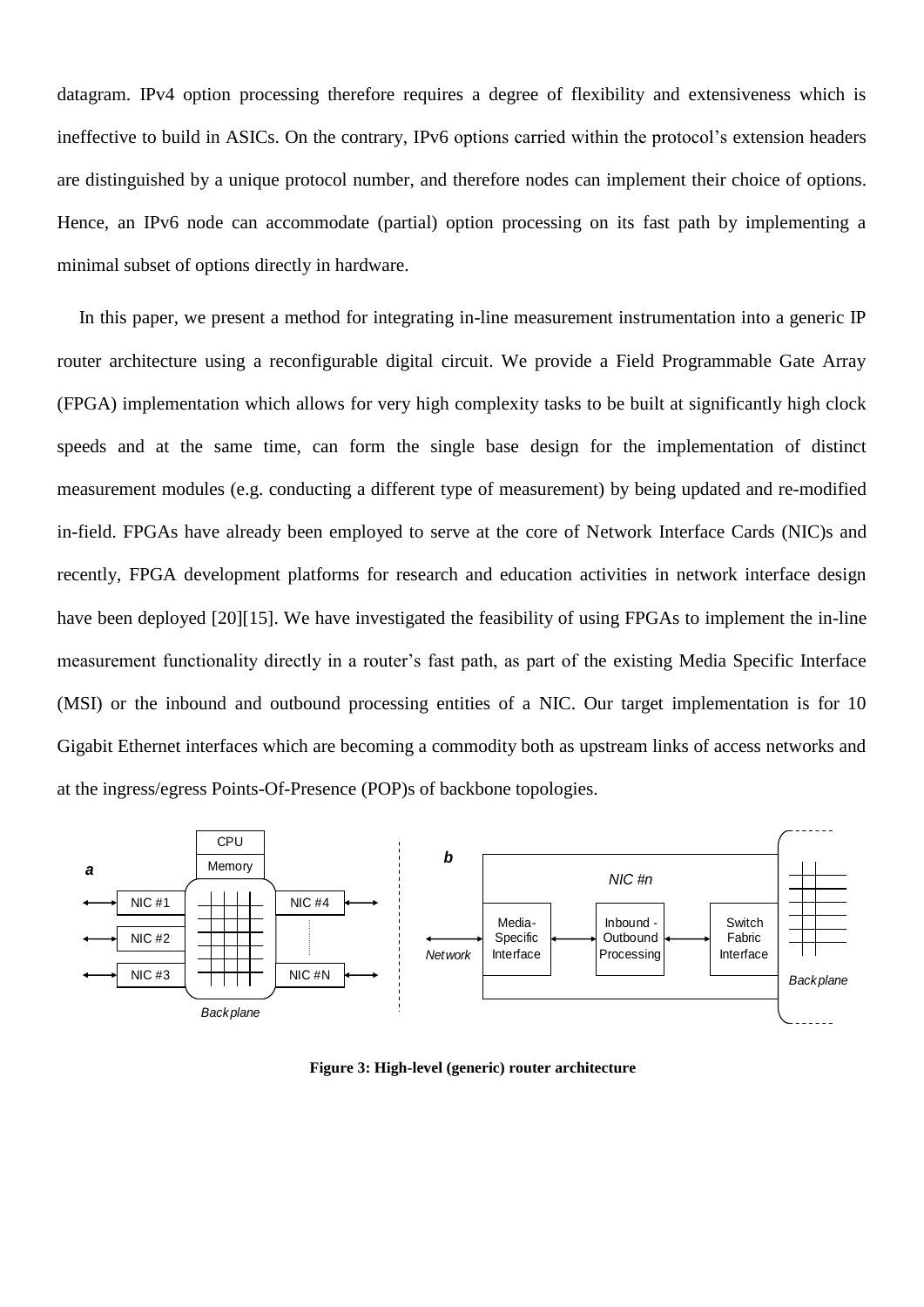datagram. IPv4 option processing therefore requires a degree of flexibility and extensiveness which is ineffective to build in ASICs. On the contrary, IPv6 options carried within the protocol"s extension headers are distinguished by a unique protocol number, and therefore nodes can implement their choice of options. Hence, an IPv6 node can accommodate (partial) option processing on its fast path by implementing a minimal subset of options directly in hardware.

In this paper, we present a method for integrating in-line measurement instrumentation into a generic IP router architecture using a reconfigurable digital circuit. We provide a Field Programmable Gate Array (FPGA) implementation which allows for very high complexity tasks to be built at significantly high clock speeds and at the same time, can form the single base design for the implementation of distinct measurement modules (e.g. conducting a different type of measurement) by being updated and re-modified in-field. FPGAs have already been employed to serve at the core of Network Interface Cards (NIC)s and recently, FPGA development platforms for research and education activities in network interface design have been deployed [\[20\]\[15\].](#page-37-12) We have investigated the feasibility of using FPGAs to implement the in-line measurement functionality directly in a router's fast path, as part of the existing Media Specific Interface (MSI) or the inbound and outbound processing entities of a NIC. Our target implementation is for 10 Gigabit Ethernet interfaces which are becoming a commodity both as upstream links of access networks and at the ingress/egress Points-Of-Presence (POP)s of backbone topologies.

<span id="page-9-0"></span>

**Figure 3: High-level (generic) router architecture**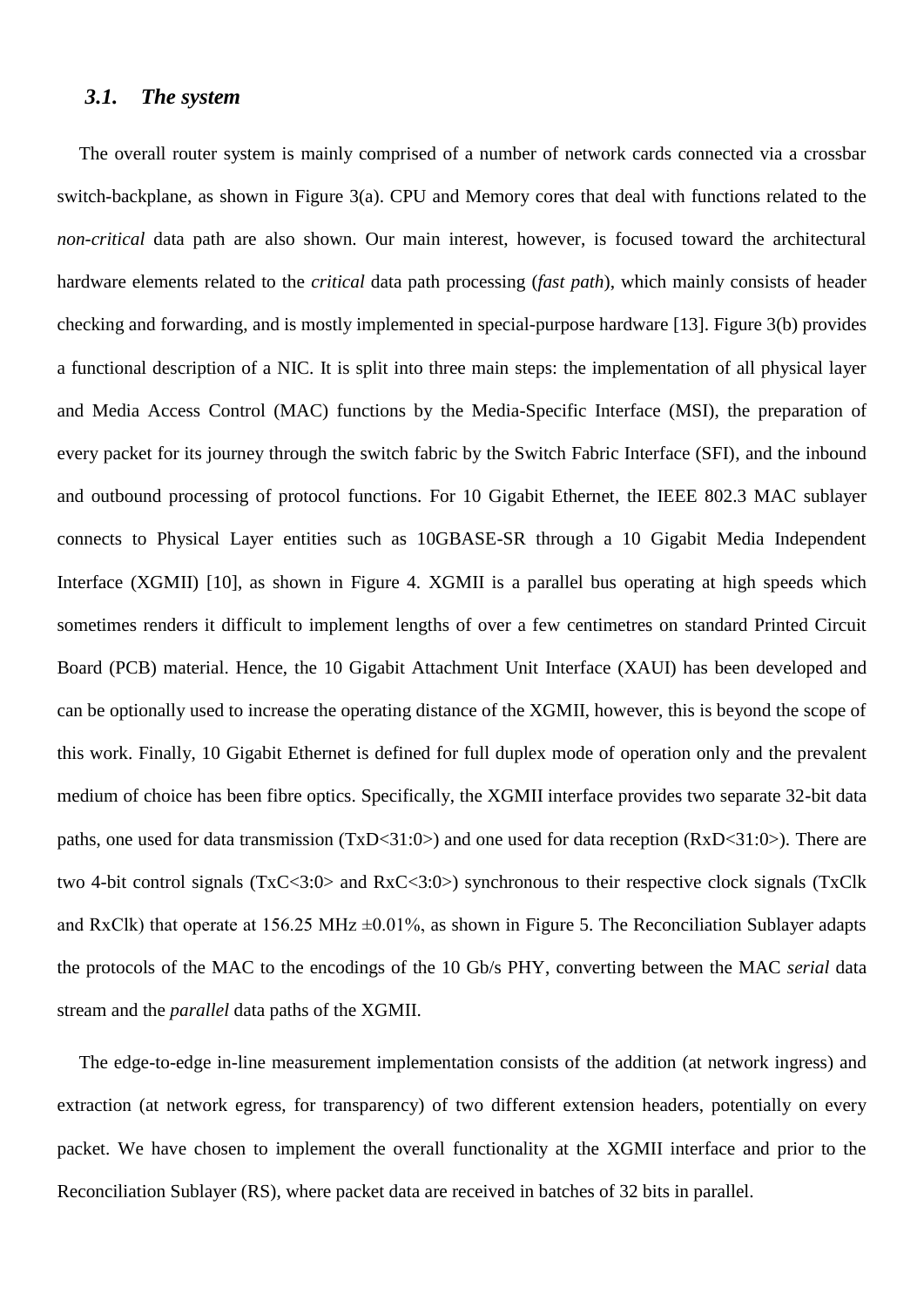## *3.1. The system*

The overall router system is mainly comprised of a number of network cards connected via a crossbar switch-backplane, as shown in [Figure 3\(](#page-9-0)a). CPU and Memory cores that deal with functions related to the *non-critical* data path are also shown. Our main interest, however, is focused toward the architectural hardware elements related to the *critical* data path processing (*fast path*), which mainly consists of header checking and forwarding, and is mostly implemented in special-purpose hardware [\[13\].](#page-37-13) [Figure 3\(](#page-9-0)b) provides a functional description of a NIC. It is split into three main steps: the implementation of all physical layer and Media Access Control (MAC) functions by the Media-Specific Interface (MSI), the preparation of every packet for its journey through the switch fabric by the Switch Fabric Interface (SFI), and the inbound and outbound processing of protocol functions. For 10 Gigabit Ethernet, the IEEE 802.3 MAC sublayer connects to Physical Layer entities such as 10GBASE-SR through a 10 Gigabit Media Independent Interface (XGMII) [\[10\],](#page-37-14) as shown in [Figure 4.](#page-11-0) XGMII is a parallel bus operating at high speeds which sometimes renders it difficult to implement lengths of over a few centimetres on standard Printed Circuit Board (PCB) material. Hence, the 10 Gigabit Attachment Unit Interface (XAUI) has been developed and can be optionally used to increase the operating distance of the XGMII, however, this is beyond the scope of this work. Finally, 10 Gigabit Ethernet is defined for full duplex mode of operation only and the prevalent medium of choice has been fibre optics. Specifically, the XGMII interface provides two separate 32-bit data paths, one used for data transmission (TxD<31:0>) and one used for data reception (RxD<31:0>). There are two 4-bit control signals (TxC<3:0> and RxC<3:0>) synchronous to their respective clock signals (TxClk and RxClk) that operate at 156.25 MHz  $\pm 0.01\%$ , as shown in [Figure 5.](#page-11-1) The Reconciliation Sublayer adapts the protocols of the MAC to the encodings of the 10 Gb/s PHY, converting between the MAC *serial* data stream and the *parallel* data paths of the XGMII.

The edge-to-edge in-line measurement implementation consists of the addition (at network ingress) and extraction (at network egress, for transparency) of two different extension headers, potentially on every packet. We have chosen to implement the overall functionality at the XGMII interface and prior to the Reconciliation Sublayer (RS), where packet data are received in batches of 32 bits in parallel.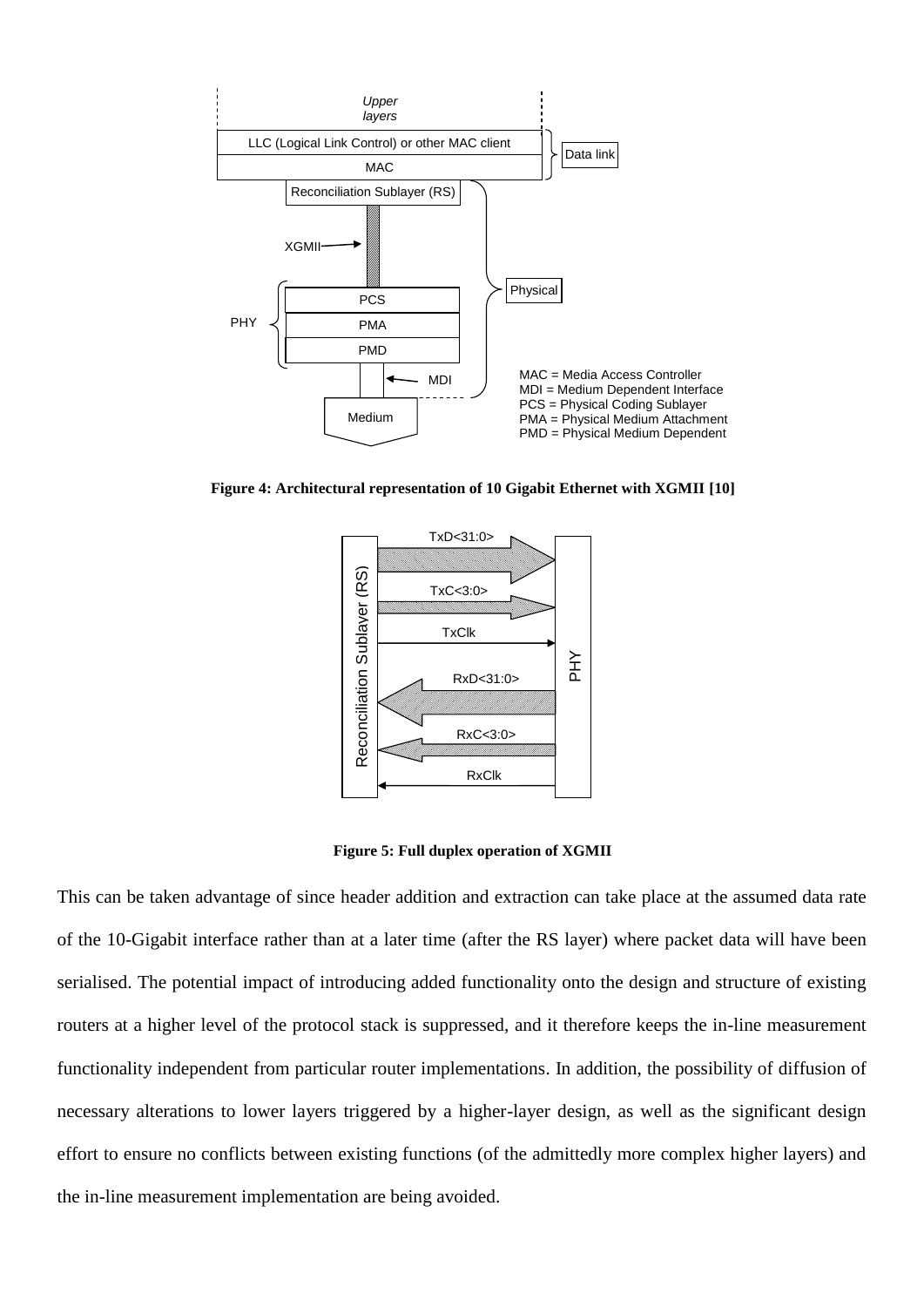

<span id="page-11-0"></span>**Figure 4: Architectural representation of 10 Gigabit Ethernet with XGMII [\[10\]](#page-37-14)**



**Figure 5: Full duplex operation of XGMII**

<span id="page-11-1"></span>This can be taken advantage of since header addition and extraction can take place at the assumed data rate of the 10-Gigabit interface rather than at a later time (after the RS layer) where packet data will have been serialised. The potential impact of introducing added functionality onto the design and structure of existing routers at a higher level of the protocol stack is suppressed, and it therefore keeps the in-line measurement functionality independent from particular router implementations. In addition, the possibility of diffusion of necessary alterations to lower layers triggered by a higher-layer design, as well as the significant design effort to ensure no conflicts between existing functions (of the admittedly more complex higher layers) and the in-line measurement implementation are being avoided.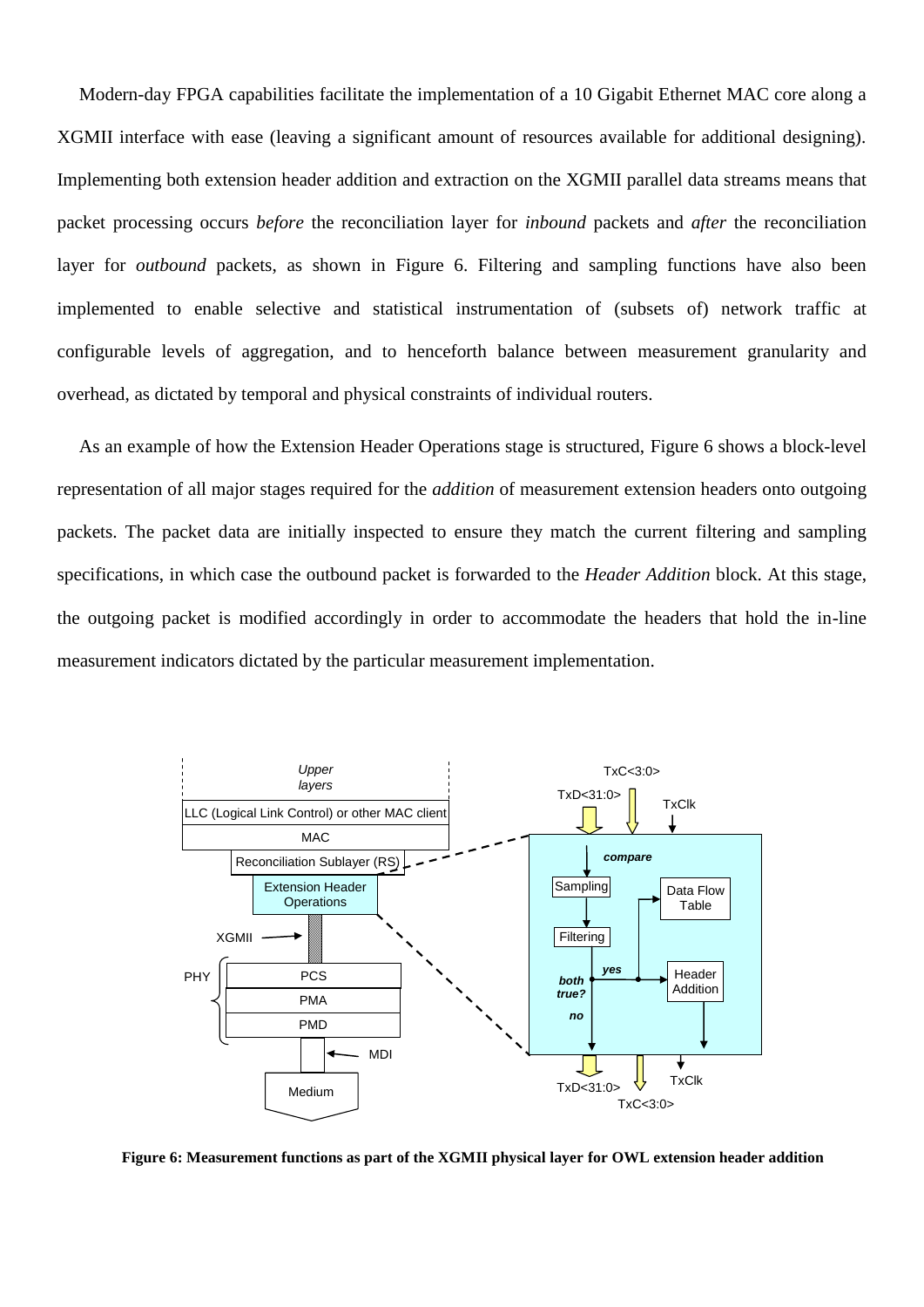Modern-day FPGA capabilities facilitate the implementation of a 10 Gigabit Ethernet MAC core along a XGMII interface with ease (leaving a significant amount of resources available for additional designing). Implementing both extension header addition and extraction on the XGMII parallel data streams means that packet processing occurs *before* the reconciliation layer for *inbound* packets and *after* the reconciliation layer for *outbound* packets, as shown in [Figure 6.](#page-12-0) Filtering and sampling functions have also been implemented to enable selective and statistical instrumentation of (subsets of) network traffic at configurable levels of aggregation, and to henceforth balance between measurement granularity and overhead, as dictated by temporal and physical constraints of individual routers.

As an example of how the Extension Header Operations stage is structured, [Figure 6](#page-12-0) shows a block-level representation of all major stages required for the *addition* of measurement extension headers onto outgoing packets. The packet data are initially inspected to ensure they match the current filtering and sampling specifications, in which case the outbound packet is forwarded to the *Header Addition* block. At this stage, the outgoing packet is modified accordingly in order to accommodate the headers that hold the in-line measurement indicators dictated by the particular measurement implementation.



<span id="page-12-0"></span>**Figure 6: Measurement functions as part of the XGMII physical layer for OWL extension header addition**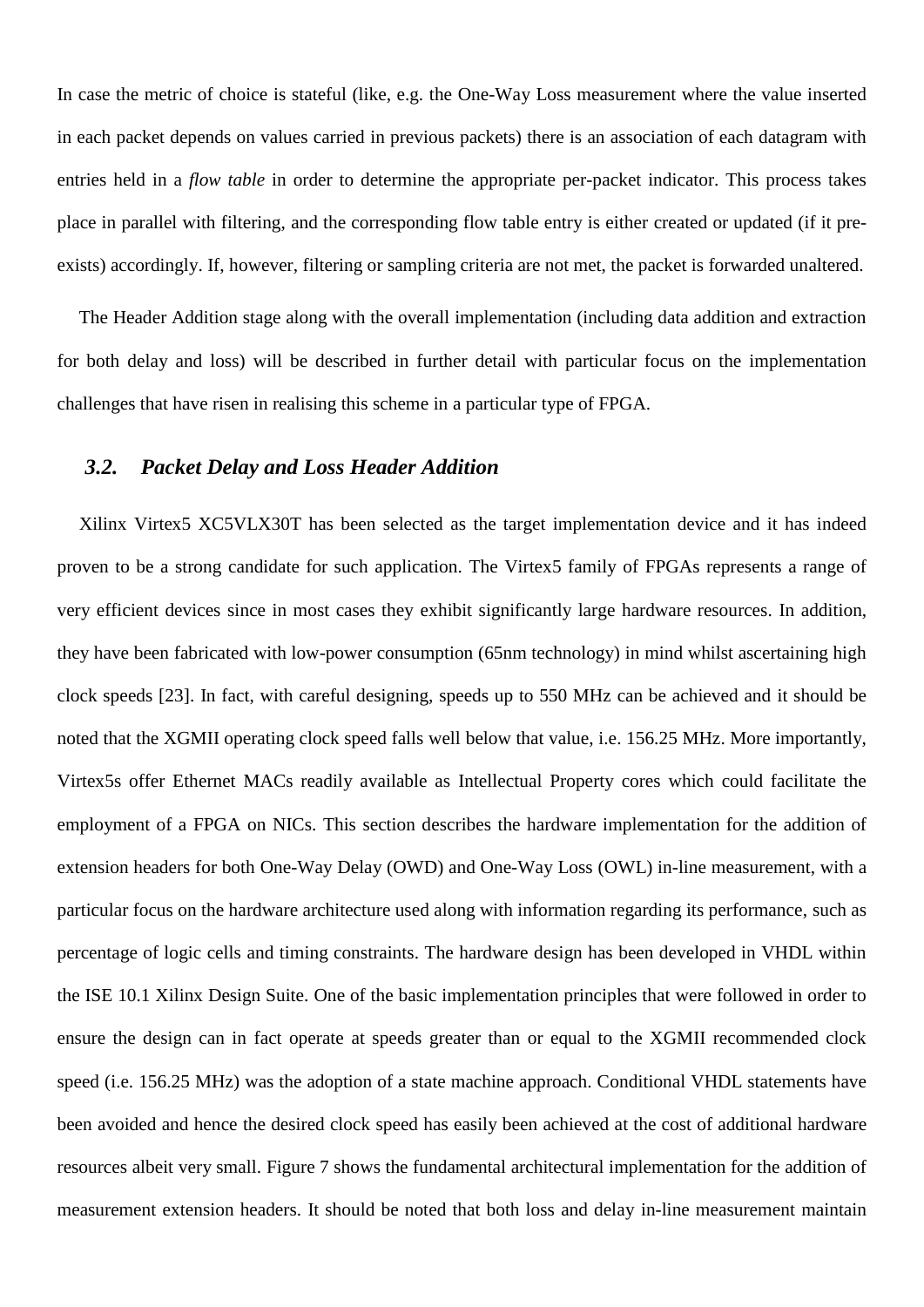In case the metric of choice is stateful (like, e.g. the One-Way Loss measurement where the value inserted in each packet depends on values carried in previous packets) there is an association of each datagram with entries held in a *flow table* in order to determine the appropriate per-packet indicator. This process takes place in parallel with filtering, and the corresponding flow table entry is either created or updated (if it preexists) accordingly. If, however, filtering or sampling criteria are not met, the packet is forwarded unaltered.

The Header Addition stage along with the overall implementation (including data addition and extraction for both delay and loss) will be described in further detail with particular focus on the implementation challenges that have risen in realising this scheme in a particular type of FPGA.

## *3.2. Packet Delay and Loss Header Addition*

Xilinx Virtex5 XC5VLX30T has been selected as the target implementation device and it has indeed proven to be a strong candidate for such application. The Virtex5 family of FPGAs represents a range of very efficient devices since in most cases they exhibit significantly large hardware resources. In addition, they have been fabricated with low-power consumption (65nm technology) in mind whilst ascertaining high clock speeds [\[23\].](#page-37-15) In fact, with careful designing, speeds up to 550 MHz can be achieved and it should be noted that the XGMII operating clock speed falls well below that value, i.e. 156.25 MHz. More importantly, Virtex5s offer Ethernet MACs readily available as Intellectual Property cores which could facilitate the employment of a FPGA on NICs. This section describes the hardware implementation for the addition of extension headers for both One-Way Delay (OWD) and One-Way Loss (OWL) in-line measurement, with a particular focus on the hardware architecture used along with information regarding its performance, such as percentage of logic cells and timing constraints. The hardware design has been developed in VHDL within the ISE 10.1 Xilinx Design Suite. One of the basic implementation principles that were followed in order to ensure the design can in fact operate at speeds greater than or equal to the XGMII recommended clock speed (i.e. 156.25 MHz) was the adoption of a state machine approach. Conditional VHDL statements have been avoided and hence the desired clock speed has easily been achieved at the cost of additional hardware resources albeit very small. [Figure 7](#page-14-0) shows the fundamental architectural implementation for the addition of measurement extension headers. It should be noted that both loss and delay in-line measurement maintain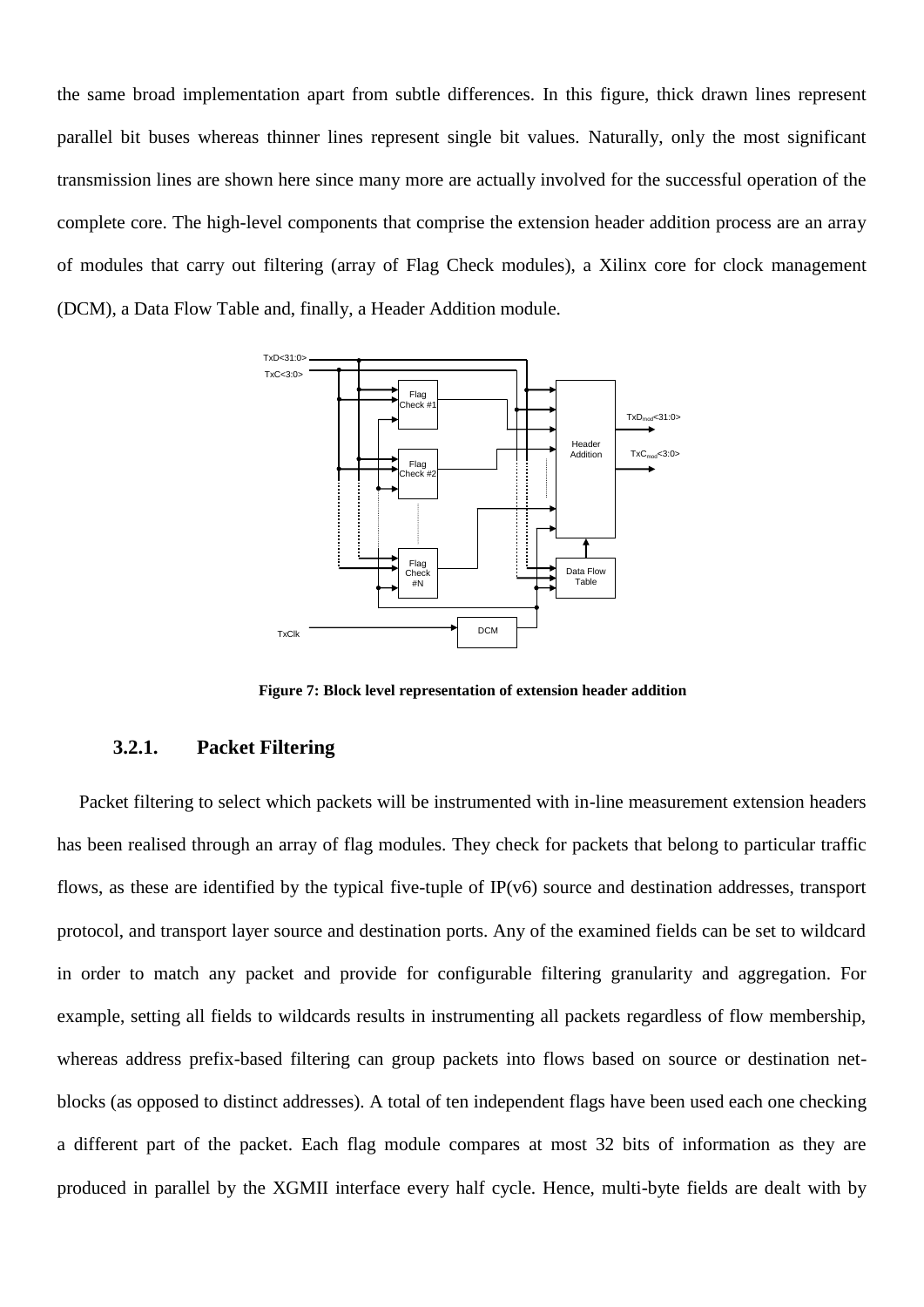the same broad implementation apart from subtle differences. In this figure, thick drawn lines represent parallel bit buses whereas thinner lines represent single bit values. Naturally, only the most significant transmission lines are shown here since many more are actually involved for the successful operation of the complete core. The high-level components that comprise the extension header addition process are an array of modules that carry out filtering (array of Flag Check modules), a Xilinx core for clock management (DCM), a Data Flow Table and, finally, a Header Addition module.



**Figure 7: Block level representation of extension header addition**

#### <span id="page-14-1"></span><span id="page-14-0"></span>**3.2.1. Packet Filtering**

Packet filtering to select which packets will be instrumented with in-line measurement extension headers has been realised through an array of flag modules. They check for packets that belong to particular traffic flows, as these are identified by the typical five-tuple of  $IP(v6)$  source and destination addresses, transport protocol, and transport layer source and destination ports. Any of the examined fields can be set to wildcard in order to match any packet and provide for configurable filtering granularity and aggregation. For example, setting all fields to wildcards results in instrumenting all packets regardless of flow membership, whereas address prefix-based filtering can group packets into flows based on source or destination netblocks (as opposed to distinct addresses). A total of ten independent flags have been used each one checking a different part of the packet. Each flag module compares at most 32 bits of information as they are produced in parallel by the XGMII interface every half cycle. Hence, multi-byte fields are dealt with by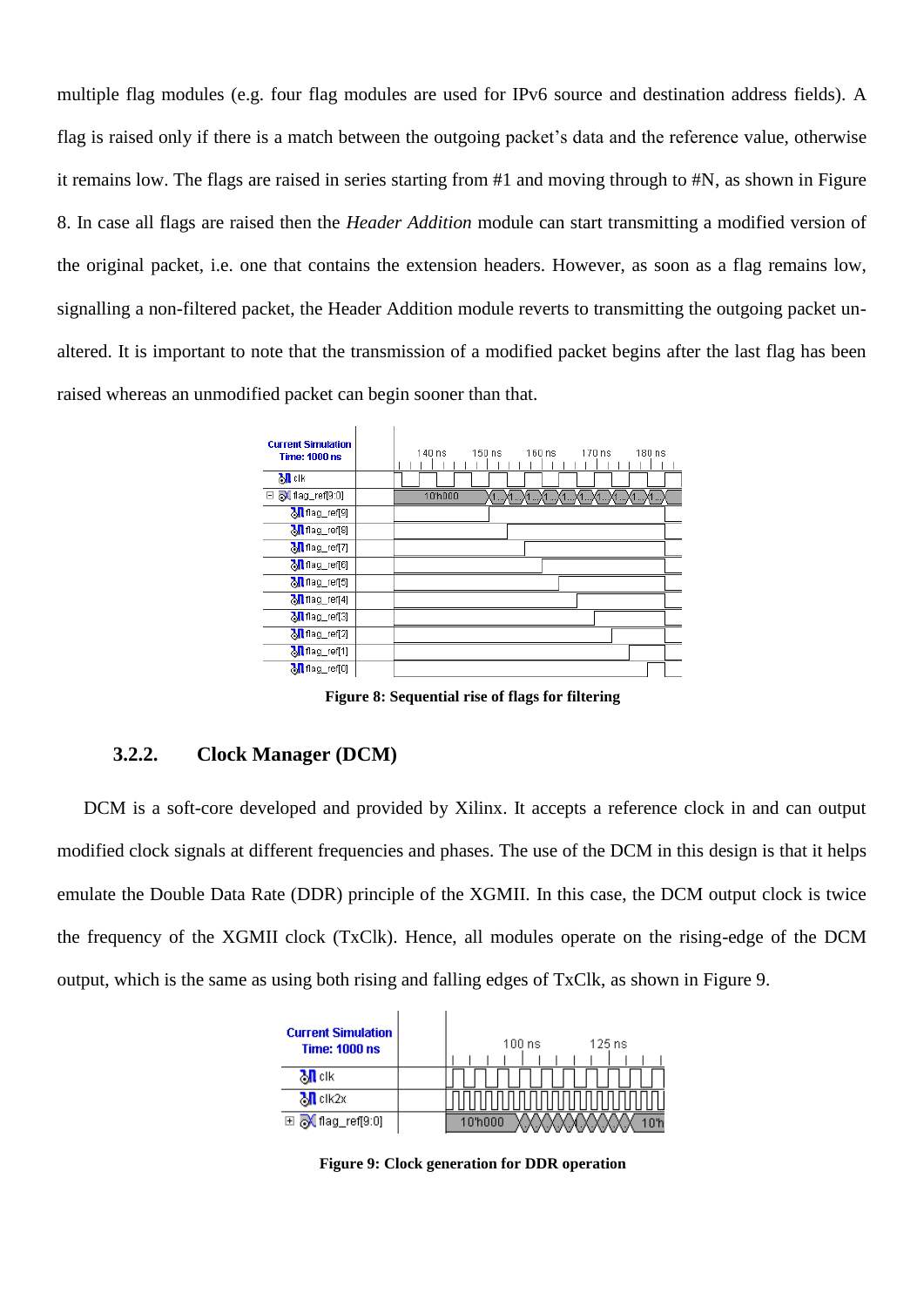multiple flag modules (e.g. four flag modules are used for IPv6 source and destination address fields). A flag is raised only if there is a match between the outgoing packet's data and the reference value, otherwise it remains low. The flags are raised in series starting from #1 and moving through to #N, as shown in [Figure](#page-15-0)  [8.](#page-15-0) In case all flags are raised then the *Header Addition* module can start transmitting a modified version of the original packet, i.e. one that contains the extension headers. However, as soon as a flag remains low, signalling a non-filtered packet, the Header Addition module reverts to transmitting the outgoing packet unaltered. It is important to note that the transmission of a modified packet begins after the last flag has been raised whereas an unmodified packet can begin sooner than that.



**Figure 8: Sequential rise of flags for filtering**

### <span id="page-15-0"></span>**3.2.2. Clock Manager (DCM)**

DCM is a soft-core developed and provided by Xilinx. It accepts a reference clock in and can output modified clock signals at different frequencies and phases. The use of the DCM in this design is that it helps emulate the Double Data Rate (DDR) principle of the XGMII. In this case, the DCM output clock is twice the frequency of the XGMII clock (TxClk). Hence, all modules operate on the rising-edge of the DCM output, which is the same as using both rising and falling edges of TxClk, as shown in [Figure 9.](#page-15-1)

<span id="page-15-1"></span>

**Figure 9: Clock generation for DDR operation**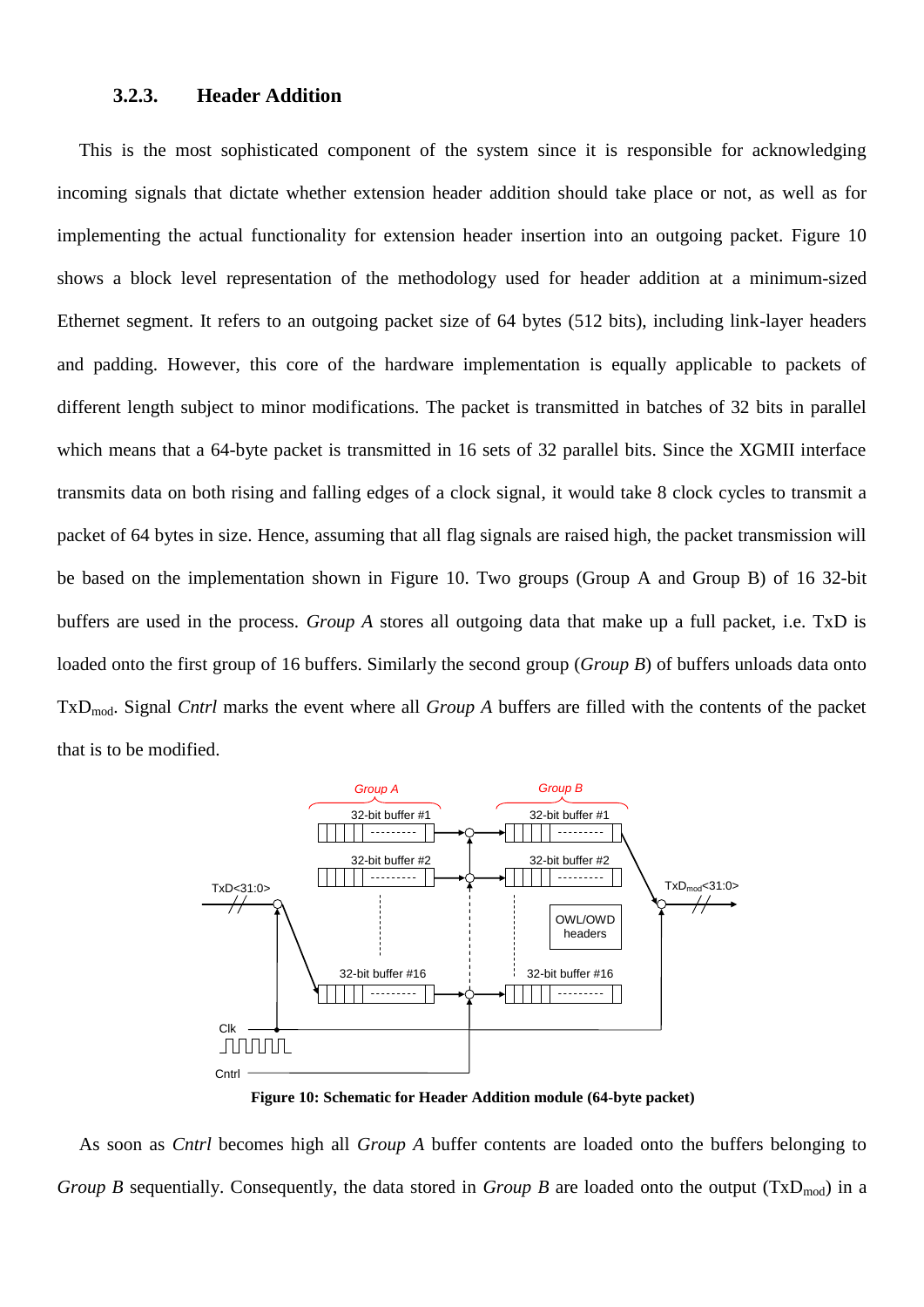#### **3.2.3. Header Addition**

<span id="page-16-1"></span>This is the most sophisticated component of the system since it is responsible for acknowledging incoming signals that dictate whether extension header addition should take place or not, as well as for implementing the actual functionality for extension header insertion into an outgoing packet. [Figure 10](#page-16-0) shows a block level representation of the methodology used for header addition at a minimum-sized Ethernet segment. It refers to an outgoing packet size of 64 bytes (512 bits), including link-layer headers and padding. However, this core of the hardware implementation is equally applicable to packets of different length subject to minor modifications. The packet is transmitted in batches of 32 bits in parallel which means that a 64-byte packet is transmitted in 16 sets of 32 parallel bits. Since the XGMII interface transmits data on both rising and falling edges of a clock signal, it would take 8 clock cycles to transmit a packet of 64 bytes in size. Hence, assuming that all flag signals are raised high, the packet transmission will be based on the implementation shown in [Figure 10.](#page-16-0) Two groups (Group A and Group B) of 16 32-bit buffers are used in the process. *Group A* stores all outgoing data that make up a full packet, i.e. TxD is loaded onto the first group of 16 buffers. Similarly the second group (*Group B*) of buffers unloads data onto TxDmod. Signal *Cntrl* marks the event where all *Group A* buffers are filled with the contents of the packet that is to be modified.



**Figure 10: Schematic for Header Addition module (64-byte packet)**

<span id="page-16-0"></span>As soon as *Cntrl* becomes high all *Group A* buffer contents are loaded onto the buffers belonging to *Group B* sequentially. Consequently, the data stored in *Group B* are loaded onto the output ( $TxD_{mod}$ ) in a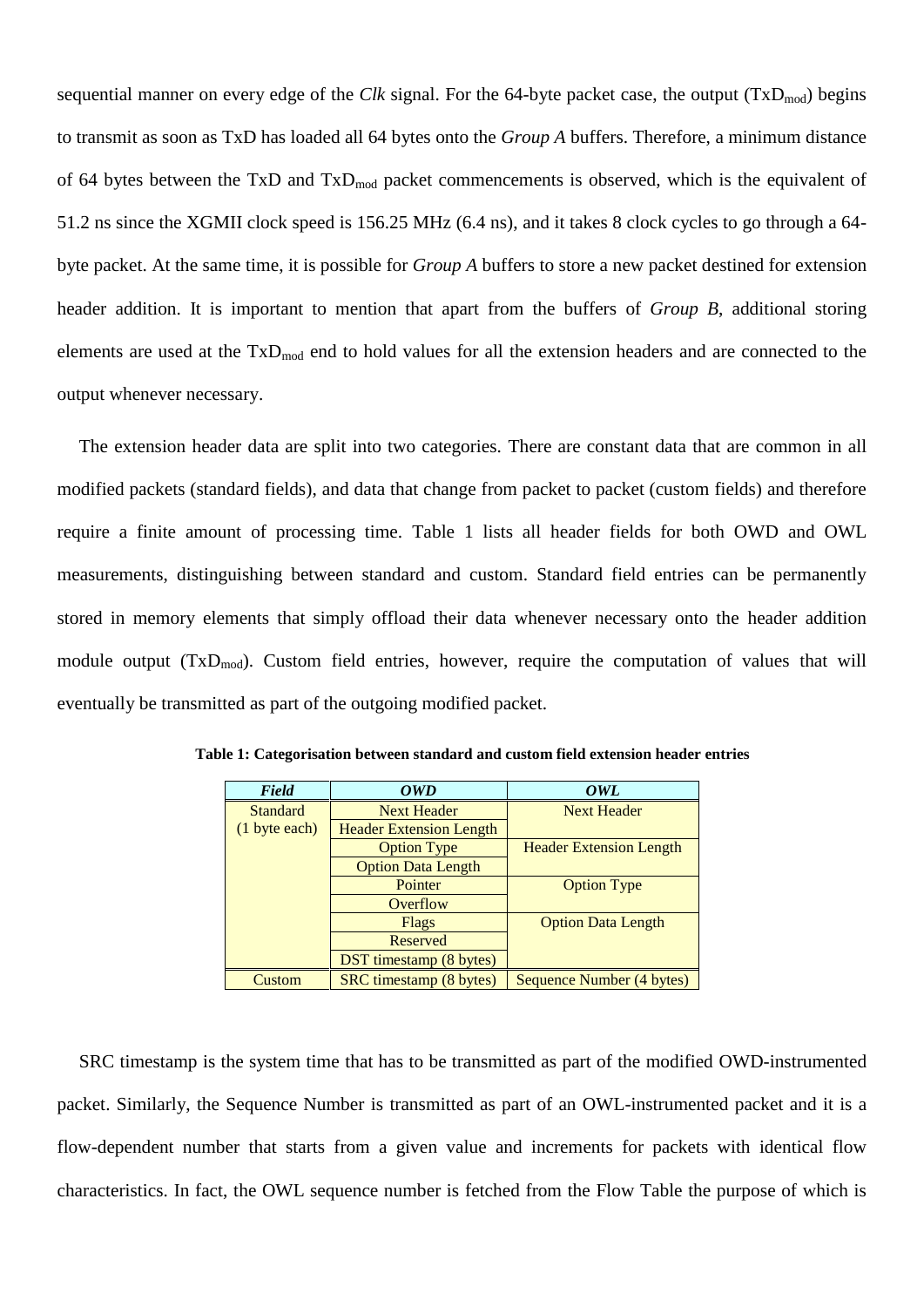sequential manner on every edge of the *Clk* signal. For the 64-byte packet case, the output  $(TxD_{mod})$  begins to transmit as soon as TxD has loaded all 64 bytes onto the *Group A* buffers. Therefore, a minimum distance of 64 bytes between the TxD and TxD<sub>mod</sub> packet commencements is observed, which is the equivalent of 51.2 ns since the XGMII clock speed is 156.25 MHz (6.4 ns), and it takes 8 clock cycles to go through a 64 byte packet. At the same time, it is possible for *Group A* buffers to store a new packet destined for extension header addition. It is important to mention that apart from the buffers of *Group B*, additional storing elements are used at the  $TxD_{mod}$  end to hold values for all the extension headers and are connected to the output whenever necessary.

The extension header data are split into two categories. There are constant data that are common in all modified packets (standard fields), and data that change from packet to packet (custom fields) and therefore require a finite amount of processing time. [Table 1](#page-17-0) lists all header fields for both OWD and OWL measurements, distinguishing between standard and custom. Standard field entries can be permanently stored in memory elements that simply offload their data whenever necessary onto the header addition module output  $(TxD_{mod})$ . Custom field entries, however, require the computation of values that will eventually be transmitted as part of the outgoing modified packet.

| Field           | <b>OWD</b>                     | OWL                            |  |
|-----------------|--------------------------------|--------------------------------|--|
| <b>Standard</b> | <b>Next Header</b>             | <b>Next Header</b>             |  |
| (1 byte each)   | <b>Header Extension Length</b> |                                |  |
|                 | <b>Option Type</b>             | <b>Header Extension Length</b> |  |
|                 | <b>Option Data Length</b>      |                                |  |
|                 | Pointer                        | <b>Option Type</b>             |  |
|                 | Overflow                       |                                |  |
|                 | Flags                          | <b>Option Data Length</b>      |  |
|                 | Reserved                       |                                |  |
|                 | <b>DST</b> timestamp (8 bytes) |                                |  |
| Custom          | SRC timestamp (8 bytes)        | Sequence Number (4 bytes)      |  |

<span id="page-17-0"></span>**Table 1: Categorisation between standard and custom field extension header entries**

SRC timestamp is the system time that has to be transmitted as part of the modified OWD-instrumented packet. Similarly, the Sequence Number is transmitted as part of an OWL-instrumented packet and it is a flow-dependent number that starts from a given value and increments for packets with identical flow characteristics. In fact, the OWL sequence number is fetched from the Flow Table the purpose of which is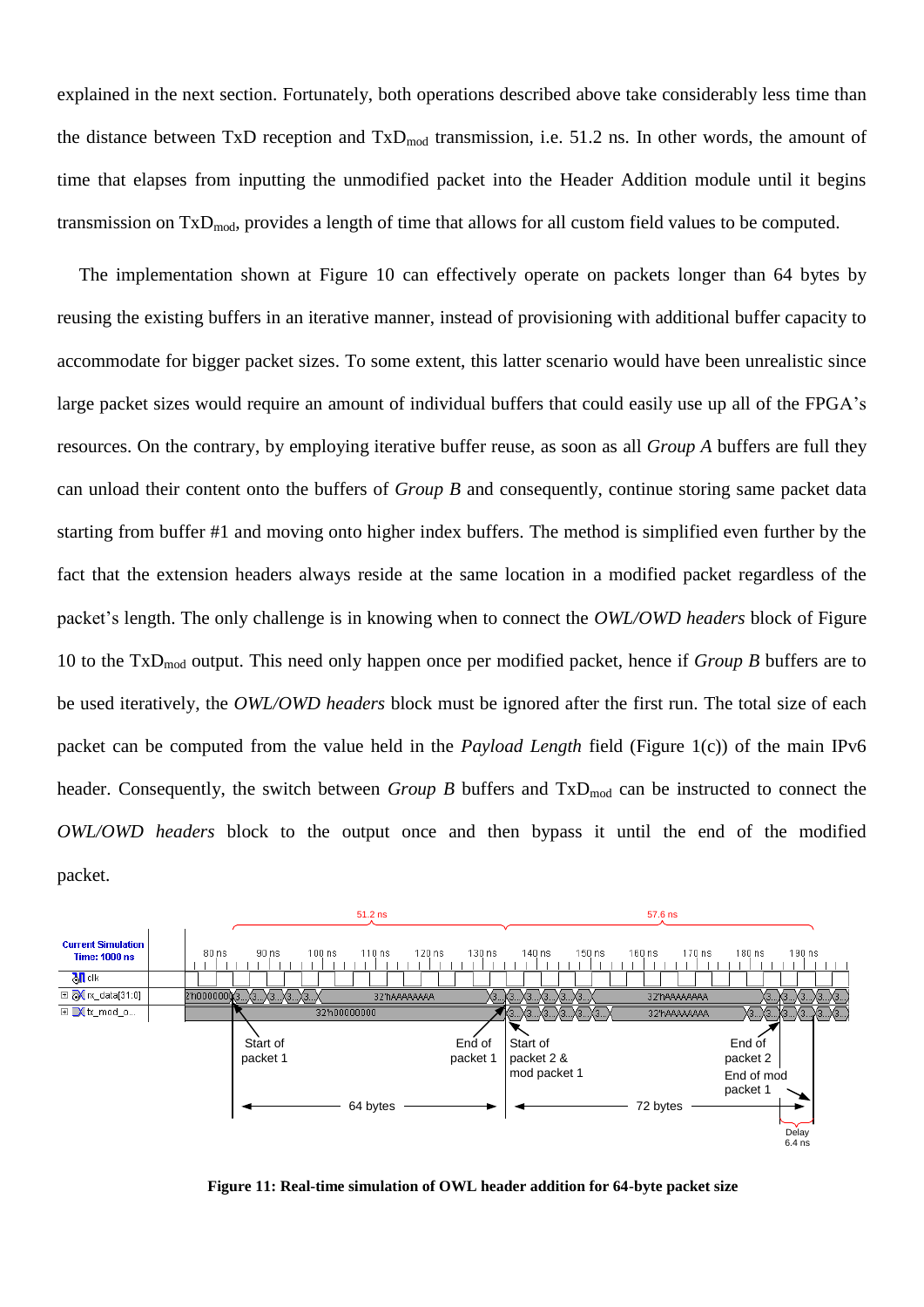explained in the next section. Fortunately, both operations described above take considerably less time than the distance between TxD reception and  $TxD_{mod}$  transmission, i.e. 51.2 ns. In other words, the amount of time that elapses from inputting the unmodified packet into the Header Addition module until it begins transmission on  $TxD_{mod}$ , provides a length of time that allows for all custom field values to be computed.

The implementation shown at [Figure 10](#page-16-0) can effectively operate on packets longer than 64 bytes by reusing the existing buffers in an iterative manner, instead of provisioning with additional buffer capacity to accommodate for bigger packet sizes. To some extent, this latter scenario would have been unrealistic since large packet sizes would require an amount of individual buffers that could easily use up all of the FPGA's resources. On the contrary, by employing iterative buffer reuse, as soon as all *Group A* buffers are full they can unload their content onto the buffers of *Group B* and consequently, continue storing same packet data starting from buffer #1 and moving onto higher index buffers. The method is simplified even further by the fact that the extension headers always reside at the same location in a modified packet regardless of the packet"s length. The only challenge is in knowing when to connect the *OWL/OWD headers* block of [Figure](#page-16-0)  [10](#page-16-0) to the TxDmod output. This need only happen once per modified packet, hence if *Group B* buffers are to be used iteratively, the *OWL/OWD headers* block must be ignored after the first run. The total size of each packet can be computed from the value held in the *Payload Length* field [\(Figure 1\(](#page-6-0)c)) of the main IPv6 header. Consequently, the switch between *Group B* buffers and TxD<sub>mod</sub> can be instructed to connect the *OWL/OWD headers* block to the output once and then bypass it until the end of the modified packet.



<span id="page-18-0"></span>**Figure 11: Real-time simulation of OWL header addition for 64-byte packet size**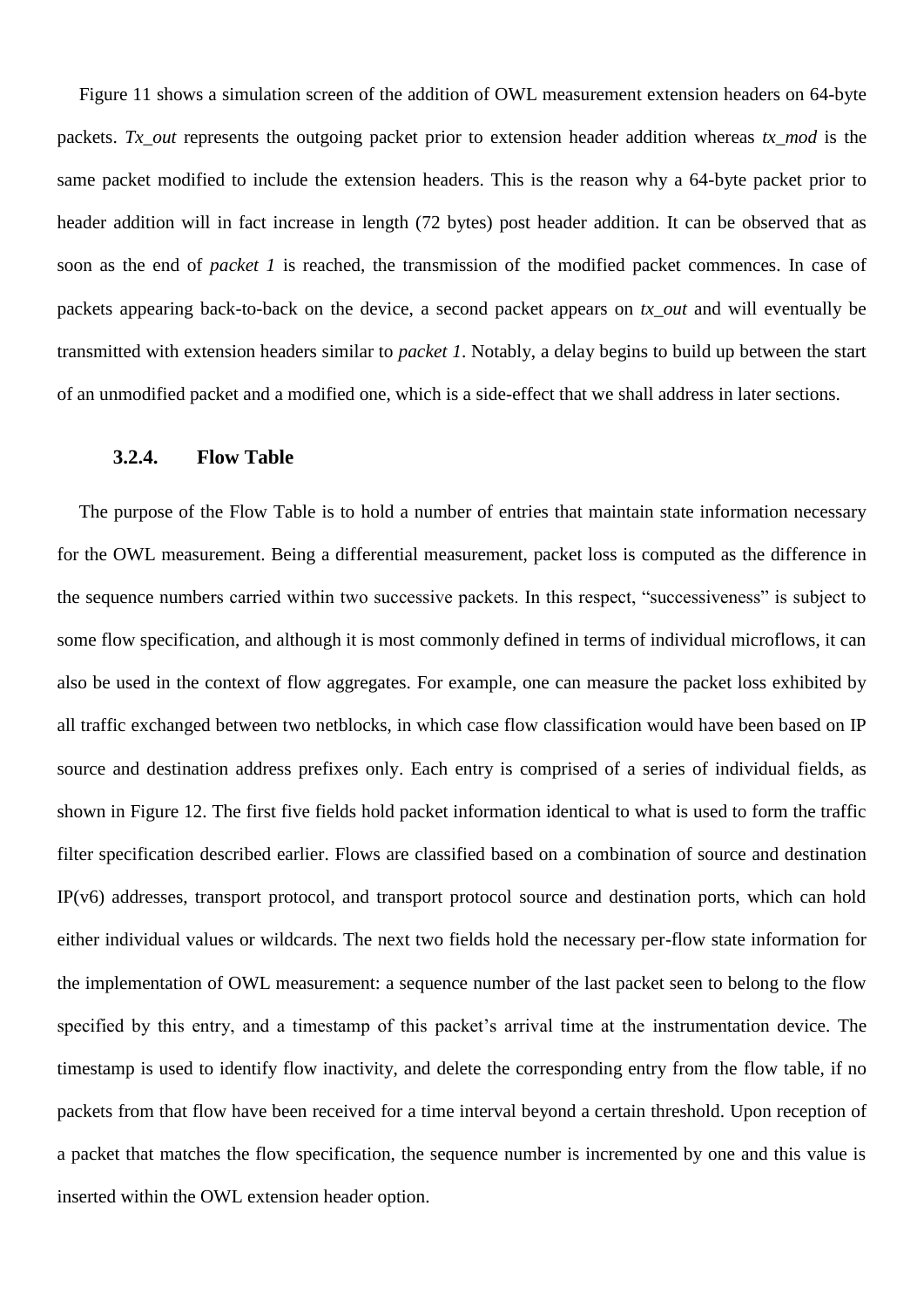[Figure 11](#page-18-0) shows a simulation screen of the addition of OWL measurement extension headers on 64-byte packets. *Tx\_out* represents the outgoing packet prior to extension header addition whereas *tx\_mod* is the same packet modified to include the extension headers. This is the reason why a 64-byte packet prior to header addition will in fact increase in length (72 bytes) post header addition. It can be observed that as soon as the end of *packet 1* is reached, the transmission of the modified packet commences. In case of packets appearing back-to-back on the device, a second packet appears on *tx\_out* and will eventually be transmitted with extension headers similar to *packet 1*. Notably, a delay begins to build up between the start of an unmodified packet and a modified one, which is a side-effect that we shall address in later sections.

#### **3.2.4. Flow Table**

The purpose of the Flow Table is to hold a number of entries that maintain state information necessary for the OWL measurement. Being a differential measurement, packet loss is computed as the difference in the sequence numbers carried within two successive packets. In this respect, "successiveness" is subject to some flow specification, and although it is most commonly defined in terms of individual microflows, it can also be used in the context of flow aggregates. For example, one can measure the packet loss exhibited by all traffic exchanged between two netblocks, in which case flow classification would have been based on IP source and destination address prefixes only. Each entry is comprised of a series of individual fields, as shown in [Figure 12.](#page-20-0) The first five fields hold packet information identical to what is used to form the traffic filter specification described earlier. Flows are classified based on a combination of source and destination IP(v6) addresses, transport protocol, and transport protocol source and destination ports, which can hold either individual values or wildcards. The next two fields hold the necessary per-flow state information for the implementation of OWL measurement: a sequence number of the last packet seen to belong to the flow specified by this entry, and a timestamp of this packet's arrival time at the instrumentation device. The timestamp is used to identify flow inactivity, and delete the corresponding entry from the flow table, if no packets from that flow have been received for a time interval beyond a certain threshold. Upon reception of a packet that matches the flow specification, the sequence number is incremented by one and this value is inserted within the OWL extension header option.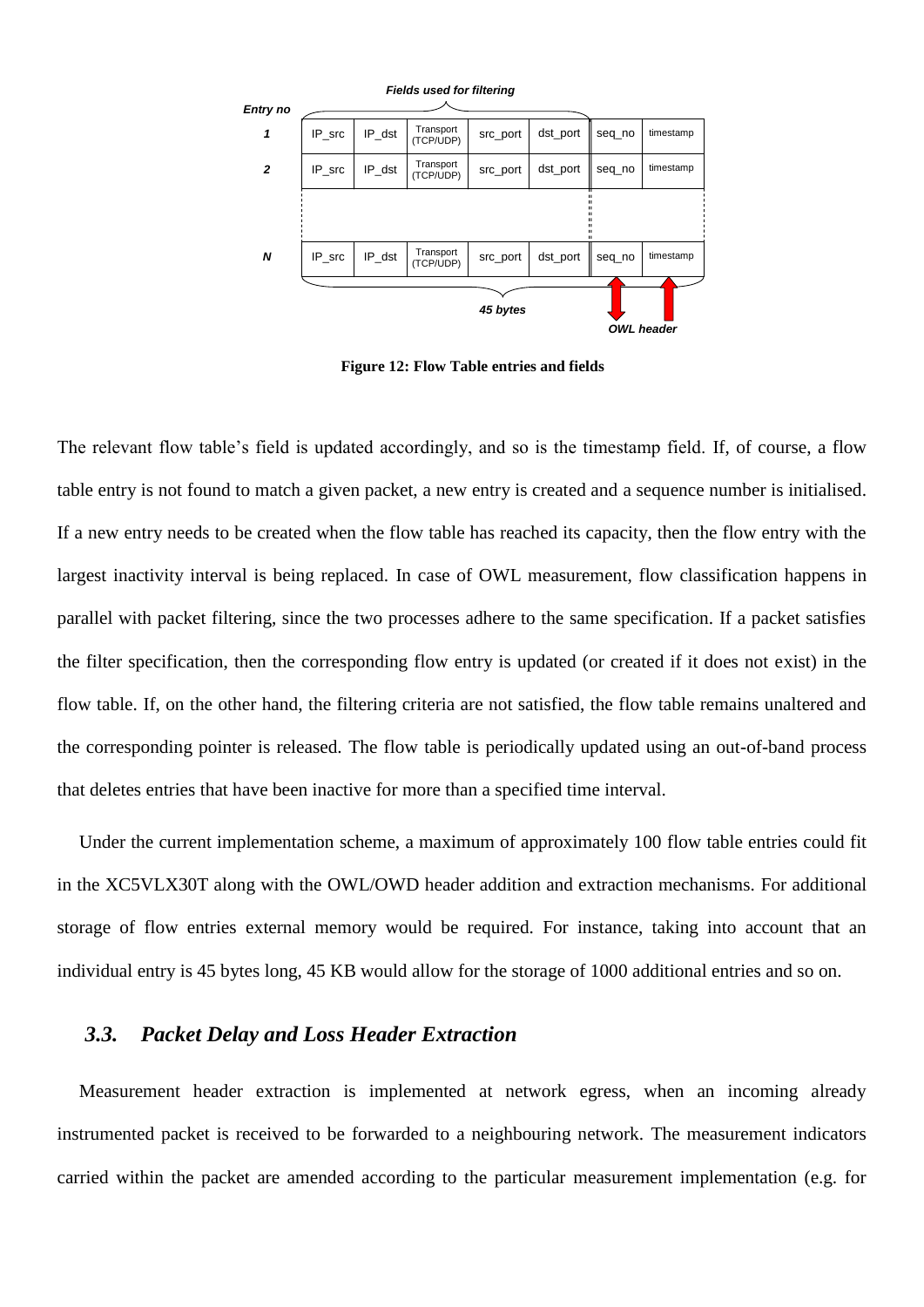

**Figure 12: Flow Table entries and fields**

<span id="page-20-0"></span>The relevant flow table"s field is updated accordingly, and so is the timestamp field. If, of course, a flow table entry is not found to match a given packet, a new entry is created and a sequence number is initialised. If a new entry needs to be created when the flow table has reached its capacity, then the flow entry with the largest inactivity interval is being replaced. In case of OWL measurement, flow classification happens in parallel with packet filtering, since the two processes adhere to the same specification. If a packet satisfies the filter specification, then the corresponding flow entry is updated (or created if it does not exist) in the flow table. If, on the other hand, the filtering criteria are not satisfied, the flow table remains unaltered and the corresponding pointer is released. The flow table is periodically updated using an out-of-band process that deletes entries that have been inactive for more than a specified time interval.

Under the current implementation scheme, a maximum of approximately 100 flow table entries could fit in the XC5VLX30T along with the OWL/OWD header addition and extraction mechanisms. For additional storage of flow entries external memory would be required. For instance, taking into account that an individual entry is 45 bytes long, 45 KB would allow for the storage of 1000 additional entries and so on.

### *3.3. Packet Delay and Loss Header Extraction*

Measurement header extraction is implemented at network egress, when an incoming already instrumented packet is received to be forwarded to a neighbouring network. The measurement indicators carried within the packet are amended according to the particular measurement implementation (e.g. for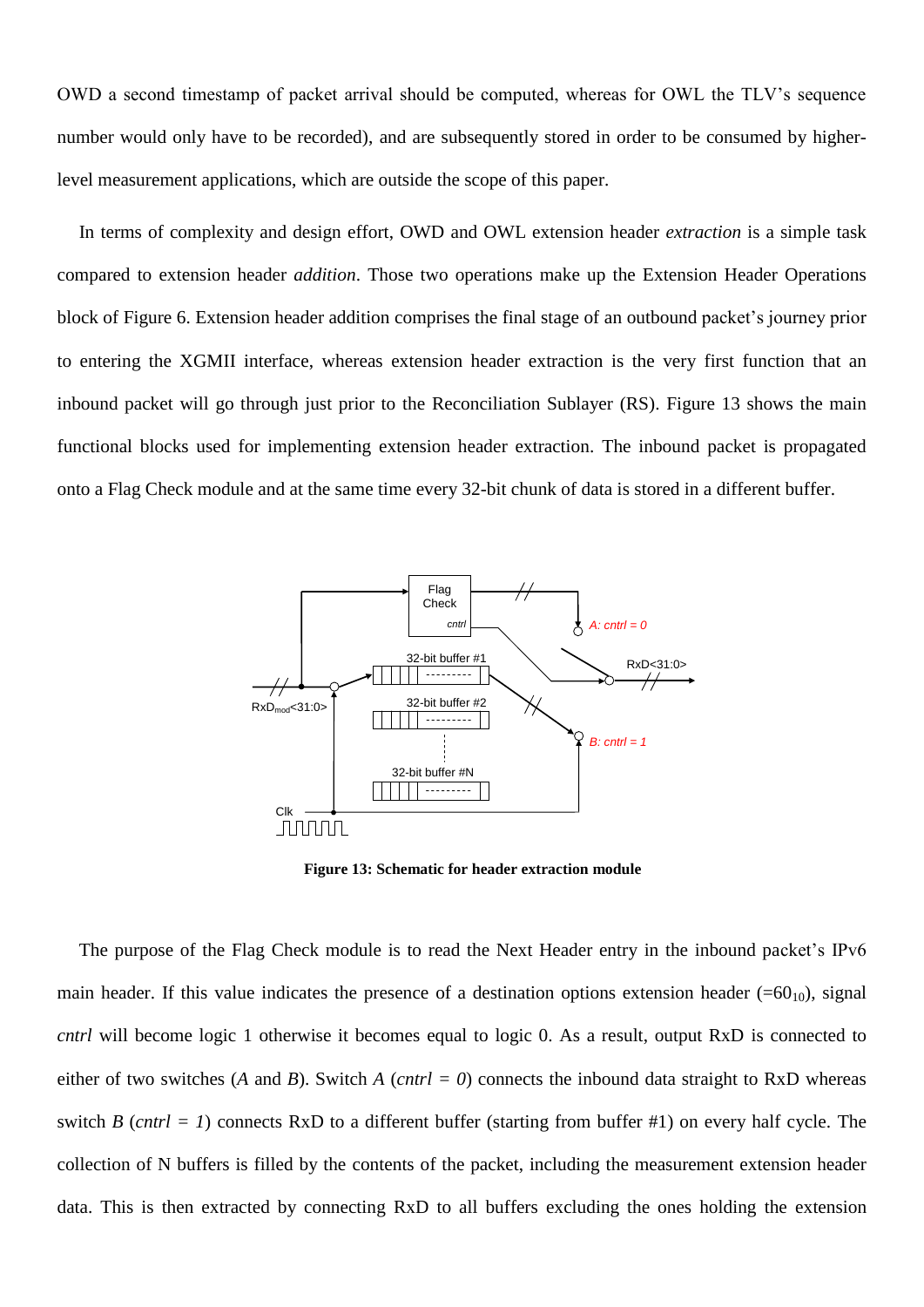OWD a second timestamp of packet arrival should be computed, whereas for OWL the TLV"s sequence number would only have to be recorded), and are subsequently stored in order to be consumed by higherlevel measurement applications, which are outside the scope of this paper.

In terms of complexity and design effort, OWD and OWL extension header *extraction* is a simple task compared to extension header *addition*. Those two operations make up the Extension Header Operations block of [Figure 6.](#page-12-0) Extension header addition comprises the final stage of an outbound packet's journey prior to entering the XGMII interface, whereas extension header extraction is the very first function that an inbound packet will go through just prior to the Reconciliation Sublayer (RS). [Figure 13](#page-21-0) shows the main functional blocks used for implementing extension header extraction. The inbound packet is propagated onto a Flag Check module and at the same time every 32-bit chunk of data is stored in a different buffer.



**Figure 13: Schematic for header extraction module**

<span id="page-21-0"></span>The purpose of the Flag Check module is to read the Next Header entry in the inbound packet's IPv6 main header. If this value indicates the presence of a destination options extension header (= $60_{10}$ ), signal *cntrl* will become logic 1 otherwise it becomes equal to logic 0. As a result, output RxD is connected to either of two switches (*A* and *B*). Switch *A* (*cntrl* = 0) connects the inbound data straight to RxD whereas switch *B* (*cntrl* = *I*) connects RxD to a different buffer (starting from buffer #1) on every half cycle. The collection of N buffers is filled by the contents of the packet, including the measurement extension header data. This is then extracted by connecting RxD to all buffers excluding the ones holding the extension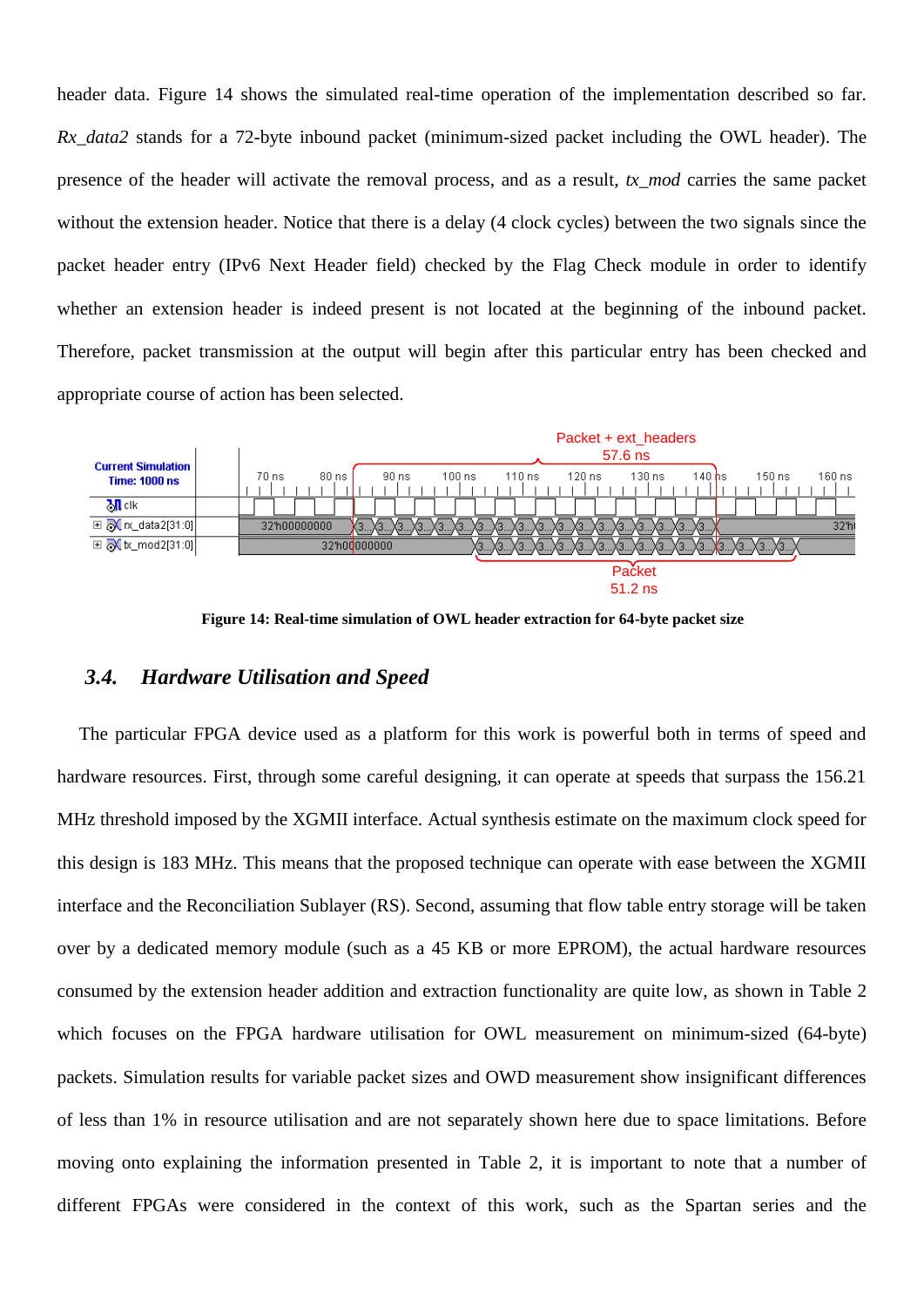header data. [Figure 14](#page-22-0) shows the simulated real-time operation of the implementation described so far. *Rx\_data2* stands for a 72-byte inbound packet (minimum-sized packet including the OWL header). The presence of the header will activate the removal process, and as a result, *tx\_mod* carries the same packet without the extension header. Notice that there is a delay (4 clock cycles) between the two signals since the packet header entry (IPv6 Next Header field) checked by the Flag Check module in order to identify whether an extension header is indeed present is not located at the beginning of the inbound packet. Therefore, packet transmission at the output will begin after this particular entry has been checked and appropriate course of action has been selected.



**Figure 14: Real-time simulation of OWL header extraction for 64-byte packet size**

### <span id="page-22-0"></span>*3.4. Hardware Utilisation and Speed*

The particular FPGA device used as a platform for this work is powerful both in terms of speed and hardware resources. First, through some careful designing, it can operate at speeds that surpass the 156.21 MHz threshold imposed by the XGMII interface. Actual synthesis estimate on the maximum clock speed for this design is 183 MHz. This means that the proposed technique can operate with ease between the XGMII interface and the Reconciliation Sublayer (RS). Second, assuming that flow table entry storage will be taken over by a dedicated memory module (such as a 45 KB or more EPROM), the actual hardware resources consumed by the extension header addition and extraction functionality are quite low, as shown in [Table 2](#page-24-0) which focuses on the FPGA hardware utilisation for OWL measurement on minimum-sized (64-byte) packets. Simulation results for variable packet sizes and OWD measurement show insignificant differences of less than 1% in resource utilisation and are not separately shown here due to space limitations. Before moving onto explaining the information presented in Table 2, it is important to note that a number of different FPGAs were considered in the context of this work, such as the Spartan series and the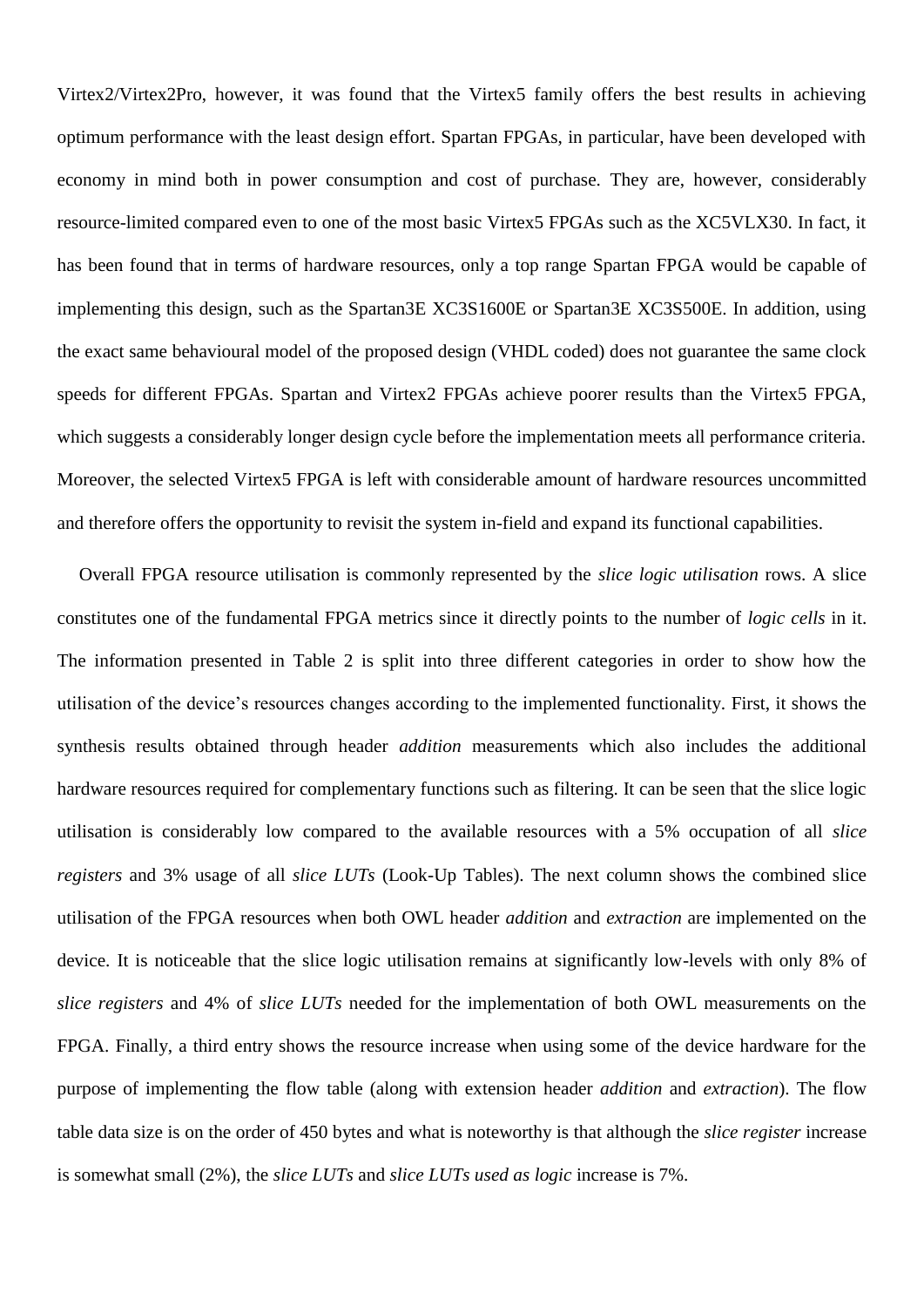Virtex2/Virtex2Pro, however, it was found that the Virtex5 family offers the best results in achieving optimum performance with the least design effort. Spartan FPGAs, in particular, have been developed with economy in mind both in power consumption and cost of purchase. They are, however, considerably resource-limited compared even to one of the most basic Virtex5 FPGAs such as the XC5VLX30. In fact, it has been found that in terms of hardware resources, only a top range Spartan FPGA would be capable of implementing this design, such as the Spartan3E XC3S1600E or Spartan3E XC3S500E. In addition, using the exact same behavioural model of the proposed design (VHDL coded) does not guarantee the same clock speeds for different FPGAs. Spartan and Virtex2 FPGAs achieve poorer results than the Virtex5 FPGA, which suggests a considerably longer design cycle before the implementation meets all performance criteria. Moreover, the selected Virtex5 FPGA is left with considerable amount of hardware resources uncommitted and therefore offers the opportunity to revisit the system in-field and expand its functional capabilities.

Overall FPGA resource utilisation is commonly represented by the *slice logic utilisation* rows. A slice constitutes one of the fundamental FPGA metrics since it directly points to the number of *logic cells* in it. The information presented in Table 2 is split into three different categories in order to show how the utilisation of the device"s resources changes according to the implemented functionality. First, it shows the synthesis results obtained through header *addition* measurements which also includes the additional hardware resources required for complementary functions such as filtering. It can be seen that the slice logic utilisation is considerably low compared to the available resources with a 5% occupation of all *slice registers* and 3% usage of all *slice LUTs* (Look-Up Tables). The next column shows the combined slice utilisation of the FPGA resources when both OWL header *addition* and *extraction* are implemented on the device. It is noticeable that the slice logic utilisation remains at significantly low-levels with only 8% of *slice registers* and 4% of *slice LUTs* needed for the implementation of both OWL measurements on the FPGA. Finally, a third entry shows the resource increase when using some of the device hardware for the purpose of implementing the flow table (along with extension header *addition* and *extraction*). The flow table data size is on the order of 450 bytes and what is noteworthy is that although the *slice register* increase is somewhat small (2%), the *slice LUTs* and *slice LUTs used as logic* increase is 7%.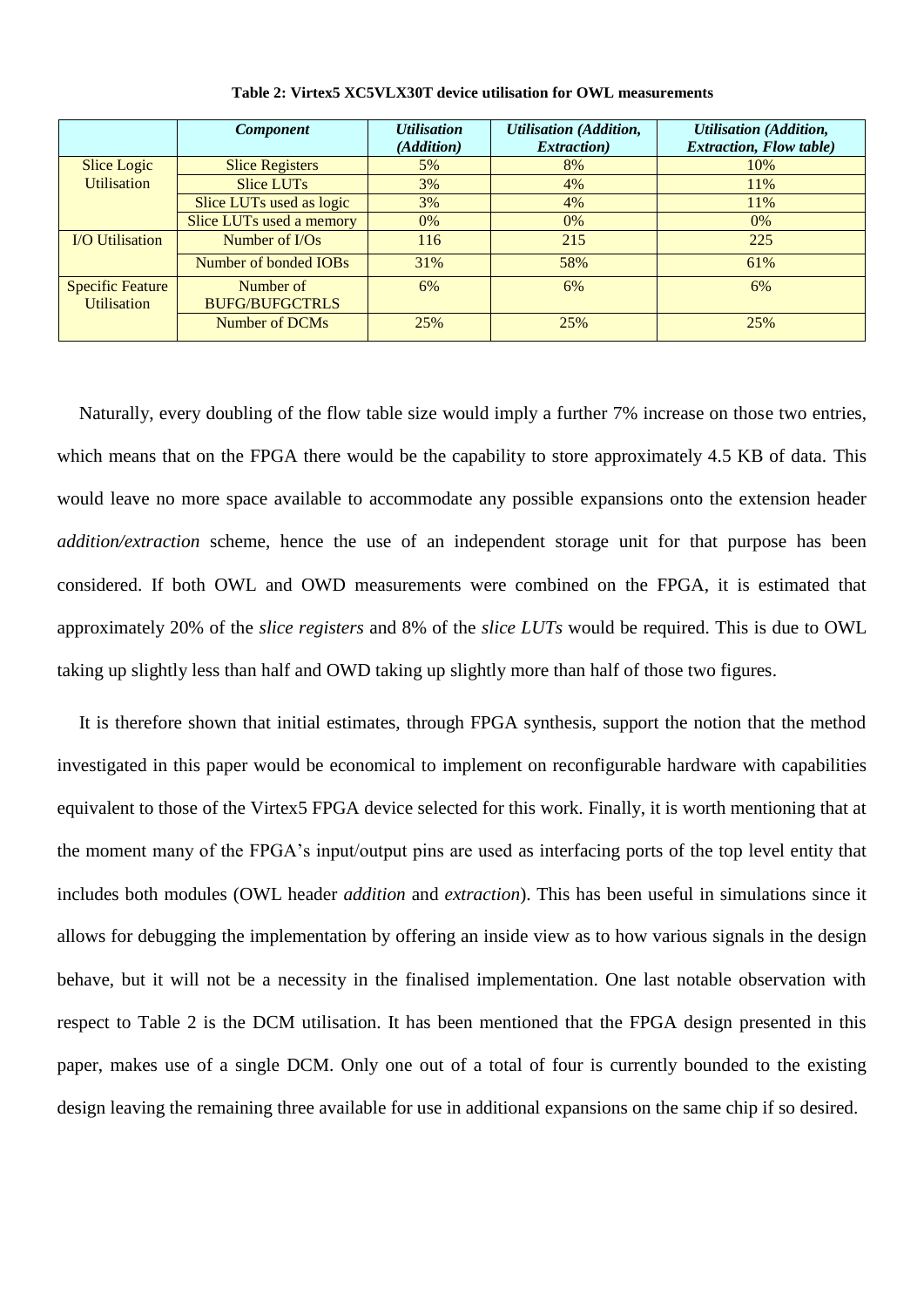<span id="page-24-0"></span>

|                         | <b>Component</b>         | <b>Utilisation</b> | <b>Utilisation</b> (Addition, | <b>Utilisation</b> (Addition,  |
|-------------------------|--------------------------|--------------------|-------------------------------|--------------------------------|
|                         |                          | (Addition)         | <i>Extraction</i> )           | <b>Extraction, Flow table)</b> |
| <b>Slice Logic</b>      | <b>Slice Registers</b>   | 5%                 | 8%                            | 10%                            |
| <b>Utilisation</b>      | <b>Slice LUTs</b>        | 3%                 | 4%                            | 11%                            |
|                         | Slice LUTs used as logic | 3%                 | 4%                            | 11%                            |
|                         | Slice LUTs used a memory | $0\%$              | $0\%$                         | 0%                             |
| <b>I/O Utilisation</b>  | Number of $I/Os$         | 116                | 215                           | 225                            |
|                         | Number of bonded IOBs    | 31%                | 58%                           | 61%                            |
| <b>Specific Feature</b> | Number of                | 6%                 | 6%                            | 6%                             |
| <b>Utilisation</b>      | <b>BUFG/BUFGCTRLS</b>    |                    |                               |                                |
|                         | Number of DCMs           | 25%                | 25%                           | 25%                            |

**Table 2: Virtex5 XC5VLX30T device utilisation for OWL measurements**

Naturally, every doubling of the flow table size would imply a further 7% increase on those two entries, which means that on the FPGA there would be the capability to store approximately 4.5 KB of data. This would leave no more space available to accommodate any possible expansions onto the extension header *addition/extraction* scheme, hence the use of an independent storage unit for that purpose has been considered. If both OWL and OWD measurements were combined on the FPGA, it is estimated that approximately 20% of the *slice registers* and 8% of the *slice LUTs* would be required. This is due to OWL taking up slightly less than half and OWD taking up slightly more than half of those two figures.

It is therefore shown that initial estimates, through FPGA synthesis, support the notion that the method investigated in this paper would be economical to implement on reconfigurable hardware with capabilities equivalent to those of the Virtex5 FPGA device selected for this work. Finally, it is worth mentioning that at the moment many of the FPGA"s input/output pins are used as interfacing ports of the top level entity that includes both modules (OWL header *addition* and *extraction*). This has been useful in simulations since it allows for debugging the implementation by offering an inside view as to how various signals in the design behave, but it will not be a necessity in the finalised implementation. One last notable observation with respect to [Table 2](#page-24-0) is the DCM utilisation. It has been mentioned that the FPGA design presented in this paper, makes use of a single DCM. Only one out of a total of four is currently bounded to the existing design leaving the remaining three available for use in additional expansions on the same chip if so desired.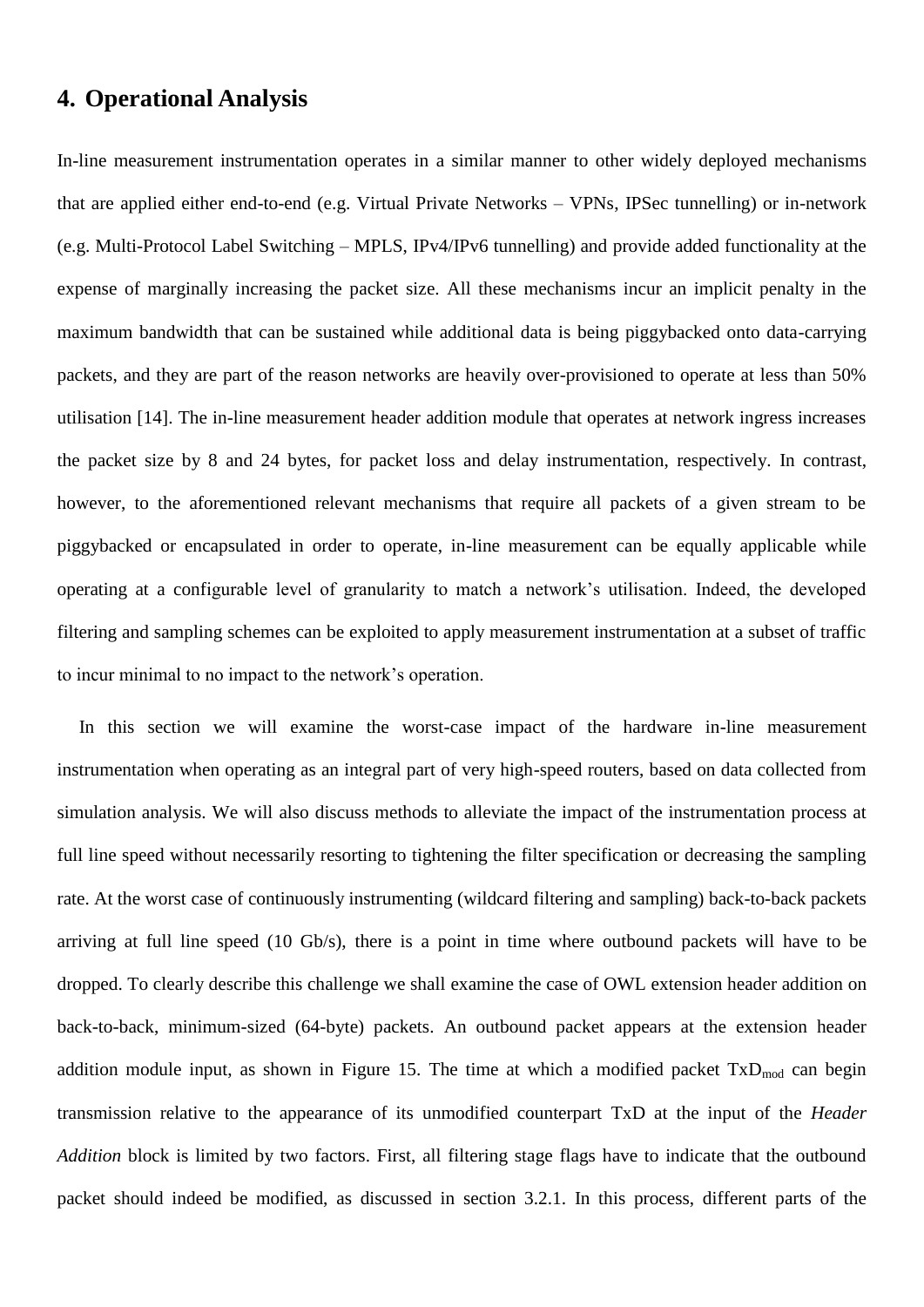# <span id="page-25-0"></span>**4. Operational Analysis**

In-line measurement instrumentation operates in a similar manner to other widely deployed mechanisms that are applied either end-to-end (e.g. Virtual Private Networks – VPNs, IPSec tunnelling) or in-network (e.g. Multi-Protocol Label Switching – MPLS, IPv4/IPv6 tunnelling) and provide added functionality at the expense of marginally increasing the packet size. All these mechanisms incur an implicit penalty in the maximum bandwidth that can be sustained while additional data is being piggybacked onto data-carrying packets, and they are part of the reason networks are heavily over-provisioned to operate at less than 50% utilisation [\[14\].](#page-37-16) The in-line measurement header addition module that operates at network ingress increases the packet size by 8 and 24 bytes, for packet loss and delay instrumentation, respectively. In contrast, however, to the aforementioned relevant mechanisms that require all packets of a given stream to be piggybacked or encapsulated in order to operate, in-line measurement can be equally applicable while operating at a configurable level of granularity to match a network"s utilisation. Indeed, the developed filtering and sampling schemes can be exploited to apply measurement instrumentation at a subset of traffic to incur minimal to no impact to the network"s operation.

In this section we will examine the worst-case impact of the hardware in-line measurement instrumentation when operating as an integral part of very high-speed routers, based on data collected from simulation analysis. We will also discuss methods to alleviate the impact of the instrumentation process at full line speed without necessarily resorting to tightening the filter specification or decreasing the sampling rate. At the worst case of continuously instrumenting (wildcard filtering and sampling) back-to-back packets arriving at full line speed (10 Gb/s), there is a point in time where outbound packets will have to be dropped. To clearly describe this challenge we shall examine the case of OWL extension header addition on back-to-back, minimum-sized (64-byte) packets. An outbound packet appears at the extension header addition module input, as shown in [Figure 15.](#page-26-0) The time at which a modified packet  $TxD_{mod}$  can begin transmission relative to the appearance of its unmodified counterpart TxD at the input of the *Header Addition* block is limited by two factors. First, all filtering stage flags have to indicate that the outbound packet should indeed be modified, as discussed in section [3.2.1.](#page-14-1) In this process, different parts of the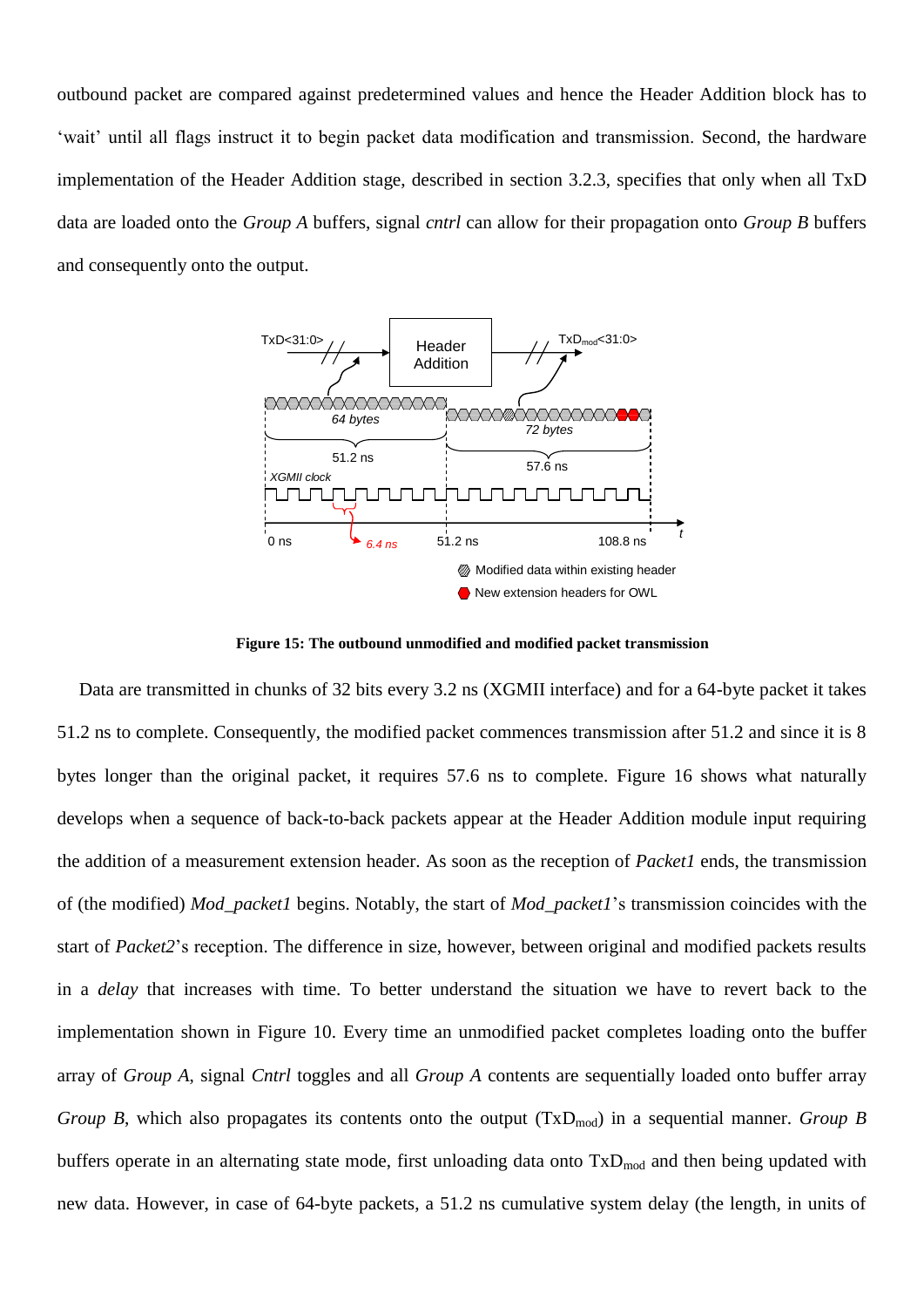outbound packet are compared against predetermined values and hence the Header Addition block has to 'wait' until all flags instruct it to begin packet data modification and transmission. Second, the hardware implementation of the Header Addition stage, described in section [3.2.3,](#page-16-1) specifies that only when all TxD data are loaded onto the *Group A* buffers, signal *cntrl* can allow for their propagation onto *Group B* buffers and consequently onto the output.



**Figure 15: The outbound unmodified and modified packet transmission**

<span id="page-26-0"></span>Data are transmitted in chunks of 32 bits every 3.2 ns (XGMII interface) and for a 64-byte packet it takes 51.2 ns to complete. Consequently, the modified packet commences transmission after 51.2 and since it is 8 bytes longer than the original packet, it requires 57.6 ns to complete. [Figure 16](#page-27-0) shows what naturally develops when a sequence of back-to-back packets appear at the Header Addition module input requiring the addition of a measurement extension header. As soon as the reception of *Packet1* ends, the transmission of (the modified) *Mod\_packet1* begins. Notably, the start of *Mod\_packet1*"s transmission coincides with the start of *Packet2*"s reception. The difference in size, however, between original and modified packets results in a *delay* that increases with time. To better understand the situation we have to revert back to the implementation shown in [Figure 10.](#page-16-0) Every time an unmodified packet completes loading onto the buffer array of *Group A*, signal *Cntrl* toggles and all *Group A* contents are sequentially loaded onto buffer array *Group B*, which also propagates its contents onto the output  $(TxD_{mod})$  in a sequential manner. *Group B* buffers operate in an alternating state mode, first unloading data onto  $TxD_{mod}$  and then being updated with new data. However, in case of 64-byte packets, a 51.2 ns cumulative system delay (the length, in units of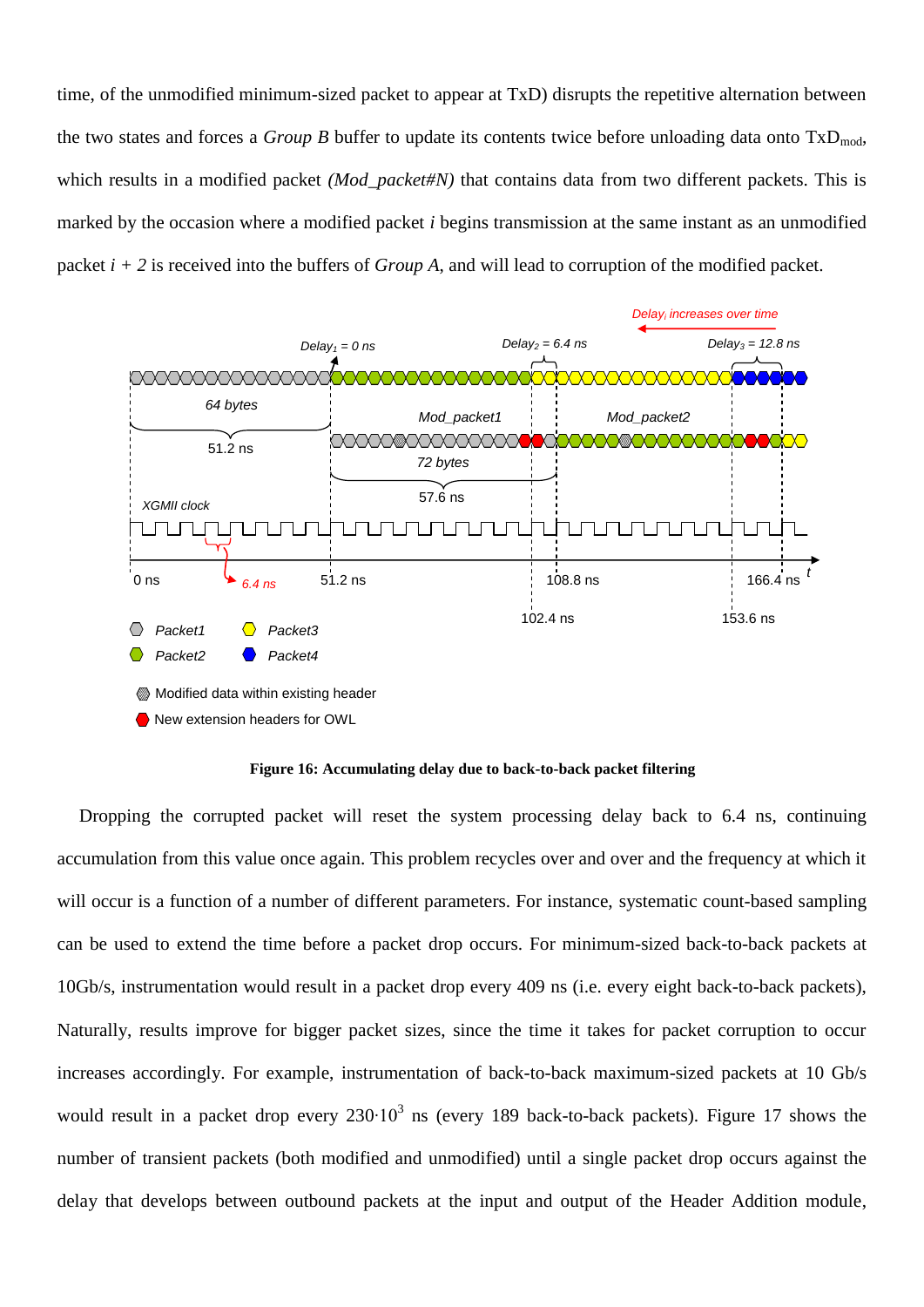time, of the unmodified minimum-sized packet to appear at TxD) disrupts the repetitive alternation between the two states and forces a *Group B* buffer to update its contents twice before unloading data onto  $TxD_{mod}$ , which results in a modified packet *(Mod\_packet#N)* that contains data from two different packets. This is marked by the occasion where a modified packet *i* begins transmission at the same instant as an unmodified packet *i + 2* is received into the buffers of *Group A*, and will lead to corruption of the modified packet.



**Figure 16: Accumulating delay due to back-to-back packet filtering**

<span id="page-27-0"></span>Dropping the corrupted packet will reset the system processing delay back to 6.4 ns, continuing accumulation from this value once again. This problem recycles over and over and the frequency at which it will occur is a function of a number of different parameters. For instance, systematic count-based sampling can be used to extend the time before a packet drop occurs. For minimum-sized back-to-back packets at 10Gb/s, instrumentation would result in a packet drop every 409 ns (i.e. every eight back-to-back packets), Naturally, results improve for bigger packet sizes, since the time it takes for packet corruption to occur increases accordingly. For example, instrumentation of back-to-back maximum-sized packets at 10 Gb/s would result in a packet drop every  $230 \cdot 10^3$  ns (every 189 back-to-back packets). [Figure 17](#page-28-0) shows the number of transient packets (both modified and unmodified) until a single packet drop occurs against the delay that develops between outbound packets at the input and output of the Header Addition module,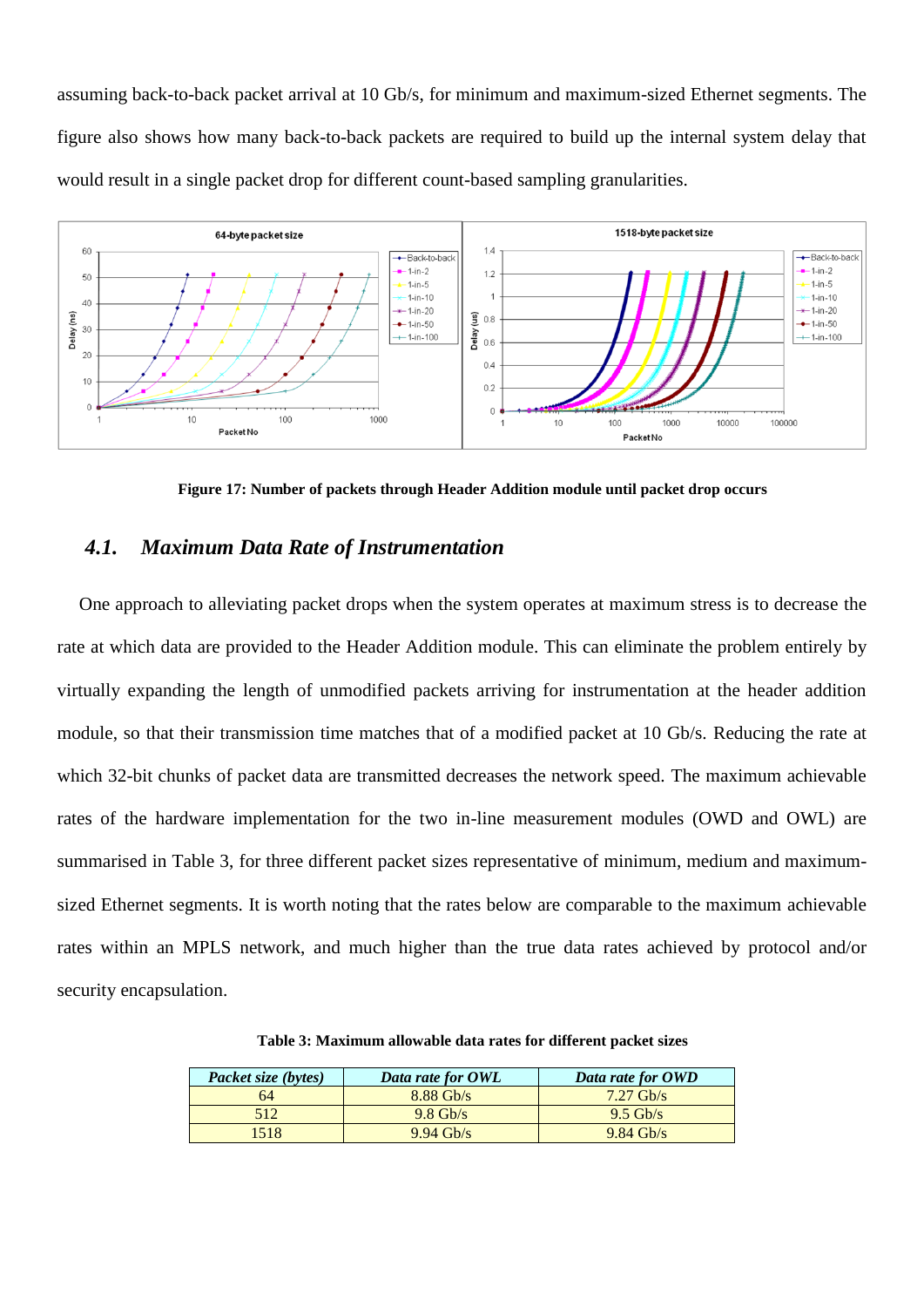assuming back-to-back packet arrival at 10 Gb/s, for minimum and maximum-sized Ethernet segments. The figure also shows how many back-to-back packets are required to build up the internal system delay that would result in a single packet drop for different count-based sampling granularities.



**Figure 17: Number of packets through Header Addition module until packet drop occurs**

### <span id="page-28-0"></span>*4.1. Maximum Data Rate of Instrumentation*

One approach to alleviating packet drops when the system operates at maximum stress is to decrease the rate at which data are provided to the Header Addition module. This can eliminate the problem entirely by virtually expanding the length of unmodified packets arriving for instrumentation at the header addition module, so that their transmission time matches that of a modified packet at 10 Gb/s. Reducing the rate at which 32-bit chunks of packet data are transmitted decreases the network speed. The maximum achievable rates of the hardware implementation for the two in-line measurement modules (OWD and OWL) are summarised in [Table 3,](#page-28-1) for three different packet sizes representative of minimum, medium and maximumsized Ethernet segments. It is worth noting that the rates below are comparable to the maximum achievable rates within an MPLS network, and much higher than the true data rates achieved by protocol and/or security encapsulation.

<span id="page-28-1"></span>

| Packet size (bytes) | Data rate for OWL   | Data rate for OWD |
|---------------------|---------------------|-------------------|
| 64                  | $8.88$ Gb/s         | $7.27$ Gb/s       |
| 512                 | $9.8 \text{Gb/s}$   | $9.5$ Gb/s        |
| 518                 | $9.94 \text{ Gh/s}$ | $9.84$ Gb/s       |

**Table 3: Maximum allowable data rates for different packet sizes**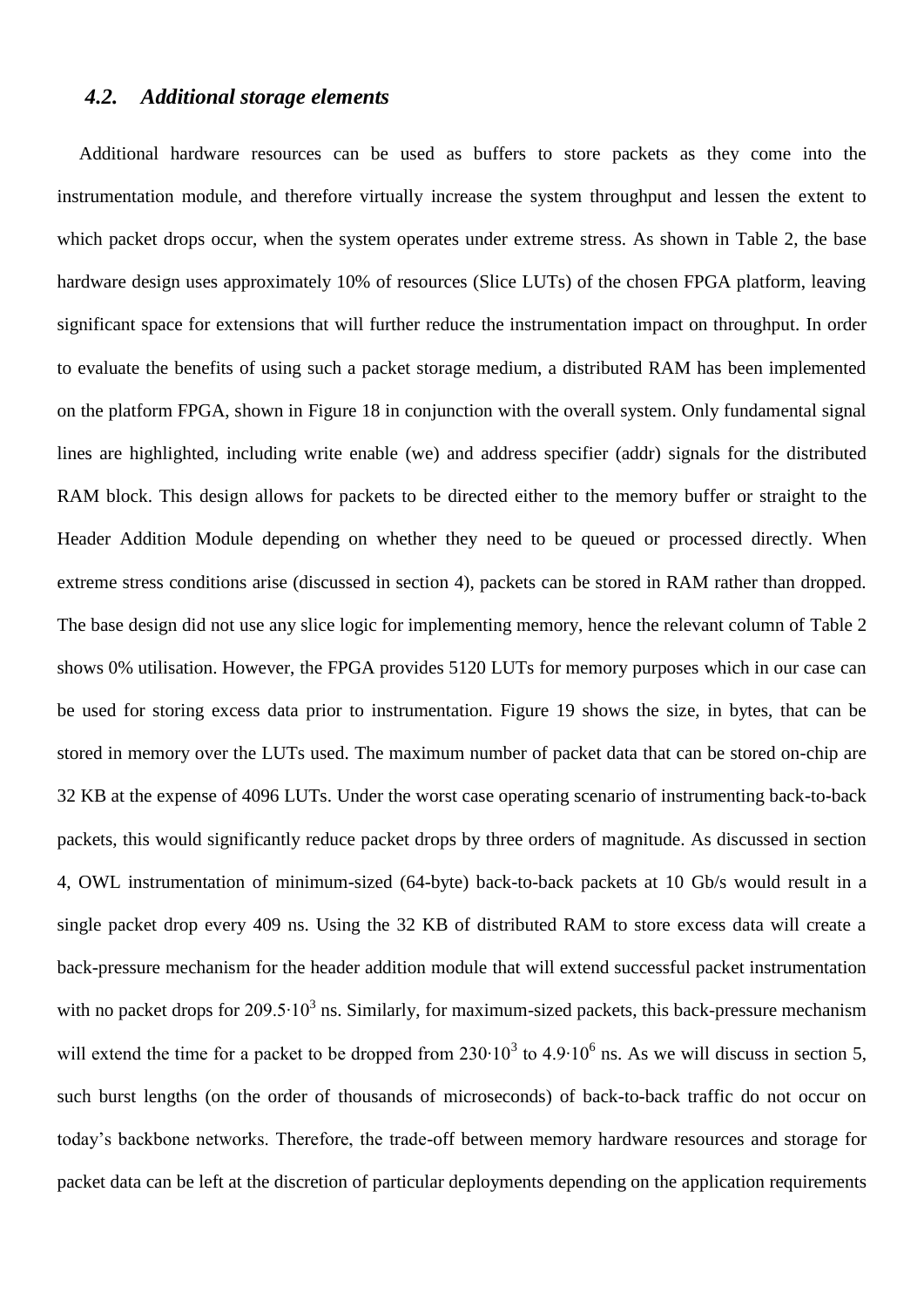### <span id="page-29-0"></span>*4.2. Additional storage elements*

Additional hardware resources can be used as buffers to store packets as they come into the instrumentation module, and therefore virtually increase the system throughput and lessen the extent to which packet drops occur, when the system operates under extreme stress. As shown in [Table 2,](#page-24-0) the base hardware design uses approximately 10% of resources (Slice LUTs) of the chosen FPGA platform, leaving significant space for extensions that will further reduce the instrumentation impact on throughput. In order to evaluate the benefits of using such a packet storage medium, a distributed RAM has been implemented on the platform FPGA, shown in [Figure 18](#page-30-0) in conjunction with the overall system. Only fundamental signal lines are highlighted, including write enable (we) and address specifier (addr) signals for the distributed RAM block. This design allows for packets to be directed either to the memory buffer or straight to the Header Addition Module depending on whether they need to be queued or processed directly. When extreme stress conditions arise (discussed in section [4\)](#page-25-0), packets can be stored in RAM rather than dropped. The base design did not use any slice logic for implementing memory, hence the relevant column of [Table 2](#page-24-0) shows 0% utilisation. However, the FPGA provides 5120 LUTs for memory purposes which in our case can be used for storing excess data prior to instrumentation. [Figure 19](#page-30-1) shows the size, in bytes, that can be stored in memory over the LUTs used. The maximum number of packet data that can be stored on-chip are 32 KB at the expense of 4096 LUTs. Under the worst case operating scenario of instrumenting back-to-back packets, this would significantly reduce packet drops by three orders of magnitude. As discussed in section [4,](#page-25-0) OWL instrumentation of minimum-sized (64-byte) back-to-back packets at 10 Gb/s would result in a single packet drop every 409 ns. Using the 32 KB of distributed RAM to store excess data will create a back-pressure mechanism for the header addition module that will extend successful packet instrumentation with no packet drops for 209.5 $\cdot$ 10<sup>3</sup> ns. Similarly, for maximum-sized packets, this back-pressure mechanism will extend the time for a packet to be dropped from  $230 \cdot 10^3$  to  $4.9 \cdot 10^6$  ns. As we will discuss in section [5,](#page-31-0) such burst lengths (on the order of thousands of microseconds) of back-to-back traffic do not occur on today"s backbone networks. Therefore, the trade-off between memory hardware resources and storage for packet data can be left at the discretion of particular deployments depending on the application requirements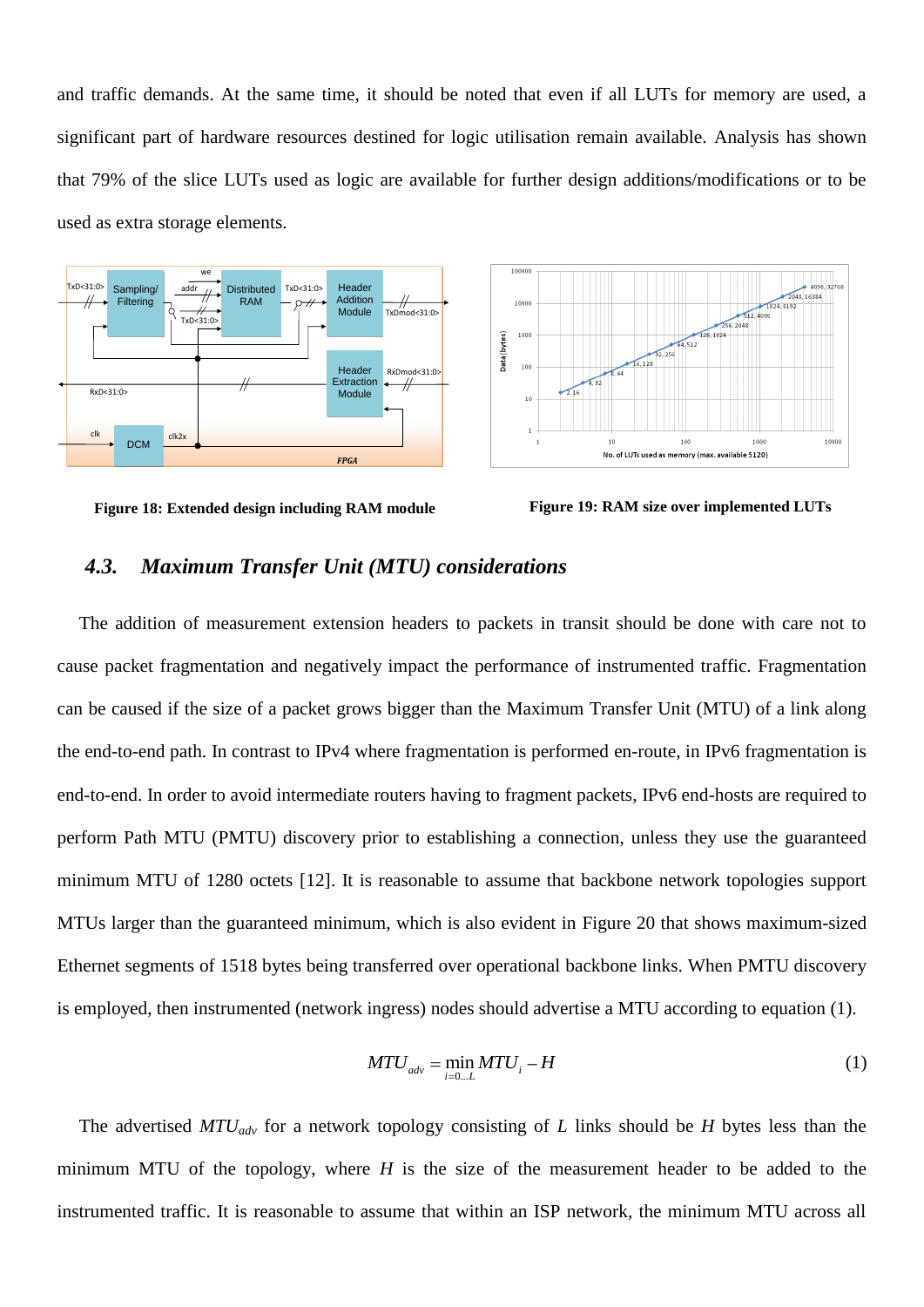and traffic demands. At the same time, it should be noted that even if all LUTs for memory are used, a significant part of hardware resources destined for logic utilisation remain available. Analysis has shown that 79% of the slice LUTs used as logic are available for further design additions/modifications or to be used as extra storage elements.





<span id="page-30-0"></span>**Figure 18: Extended design including RAM module Figure 19: RAM size over implemented LUTs**

<span id="page-30-1"></span>

#### *4.3. Maximum Transfer Unit (MTU) considerations*

The addition of measurement extension headers to packets in transit should be done with care not to cause packet fragmentation and negatively impact the performance of instrumented traffic. Fragmentation can be caused if the size of a packet grows bigger than the Maximum Transfer Unit (MTU) of a link along the end-to-end path. In contrast to IPv4 where fragmentation is performed en-route, in IPv6 fragmentation is end-to-end. In order to avoid intermediate routers having to fragment packets, IPv6 end-hosts are required to perform Path MTU (PMTU) discovery prior to establishing a connection, unless they use the guaranteed minimum MTU of 1280 octets [\[12\].](#page-37-17) It is reasonable to assume that backbone network topologies support MTUs larger than the guaranteed minimum, which is also evident in [Figure 20](#page-33-0) that shows maximum-sized Ethernet segments of 1518 bytes being transferred over operational backbone links. When PMTU discovery is employed, then instrumented (network ingress) nodes should advertise a MTU according to equation (1).

$$
MTU_{adv} = \min_{i=0...L} MTU_i - H \tag{1}
$$

The advertised *MTUadv* for a network topology consisting of *L* links should be *H* bytes less than the minimum MTU of the topology, where *H* is the size of the measurement header to be added to the instrumented traffic. It is reasonable to assume that within an ISP network, the minimum MTU across all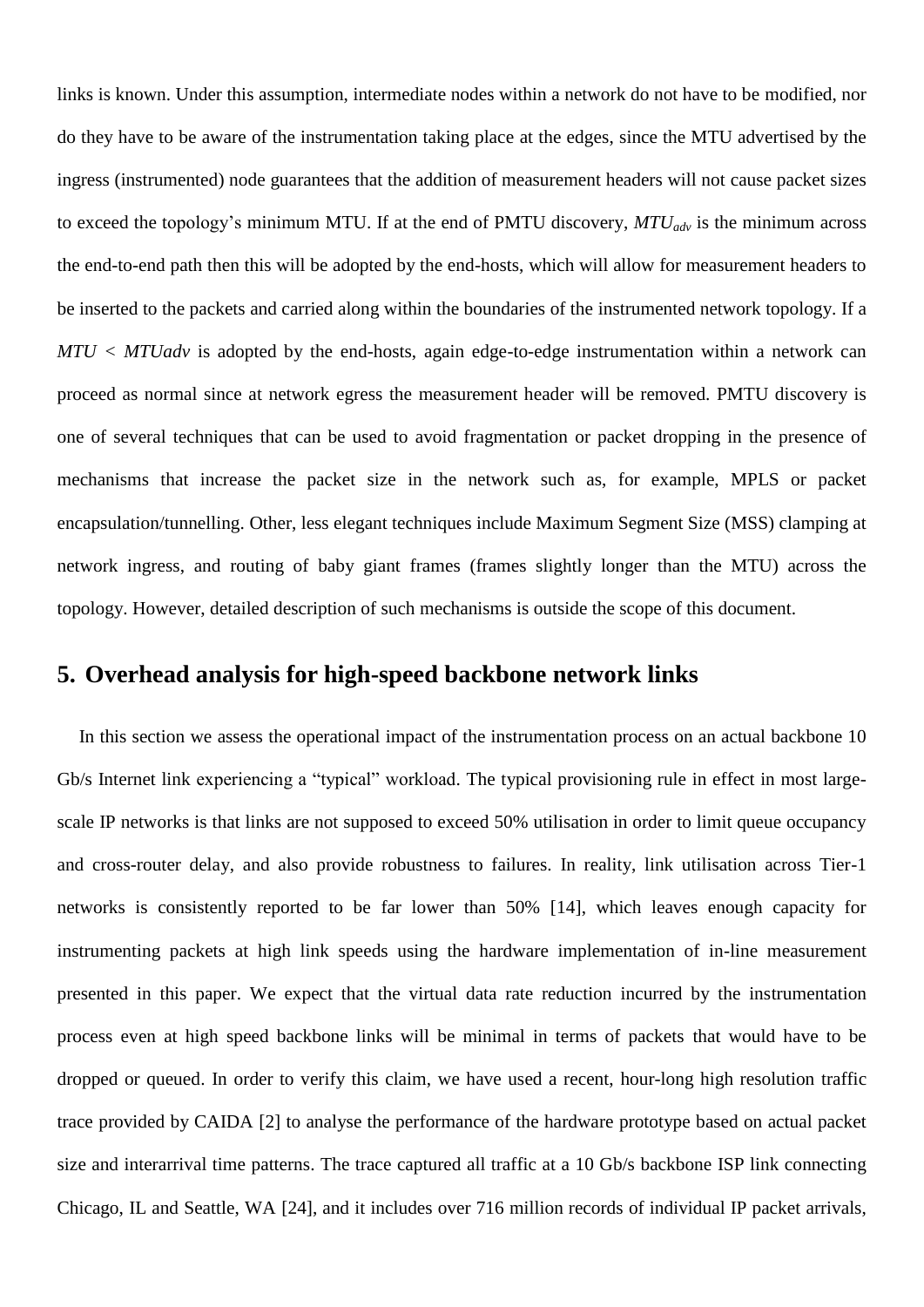links is known. Under this assumption, intermediate nodes within a network do not have to be modified, nor do they have to be aware of the instrumentation taking place at the edges, since the MTU advertised by the ingress (instrumented) node guarantees that the addition of measurement headers will not cause packet sizes to exceed the topology"s minimum MTU. If at the end of PMTU discovery, *MTUadv* is the minimum across the end-to-end path then this will be adopted by the end-hosts, which will allow for measurement headers to be inserted to the packets and carried along within the boundaries of the instrumented network topology. If a *MTU < MTUadv* is adopted by the end-hosts, again edge-to-edge instrumentation within a network can proceed as normal since at network egress the measurement header will be removed. PMTU discovery is one of several techniques that can be used to avoid fragmentation or packet dropping in the presence of mechanisms that increase the packet size in the network such as, for example, MPLS or packet encapsulation/tunnelling. Other, less elegant techniques include Maximum Segment Size (MSS) clamping at network ingress, and routing of baby giant frames (frames slightly longer than the MTU) across the topology. However, detailed description of such mechanisms is outside the scope of this document.

# <span id="page-31-0"></span>**5. Overhead analysis for high-speed backbone network links**

In this section we assess the operational impact of the instrumentation process on an actual backbone 10 Gb/s Internet link experiencing a "typical" workload. The typical provisioning rule in effect in most largescale IP networks is that links are not supposed to exceed 50% utilisation in order to limit queue occupancy and cross-router delay, and also provide robustness to failures. In reality, link utilisation across Tier-1 networks is consistently reported to be far lower than 50% [\[14\],](#page-37-16) which leaves enough capacity for instrumenting packets at high link speeds using the hardware implementation of in-line measurement presented in this paper. We expect that the virtual data rate reduction incurred by the instrumentation process even at high speed backbone links will be minimal in terms of packets that would have to be dropped or queued. In order to verify this claim, we have used a recent, hour-long high resolution traffic trace provided by CAIDA [\[2\]](#page-37-18) to analyse the performance of the hardware prototype based on actual packet size and interarrival time patterns. The trace captured all traffic at a 10 Gb/s backbone ISP link connecting Chicago, IL and Seattle, WA [\[24\],](#page-37-19) and it includes over 716 million records of individual IP packet arrivals,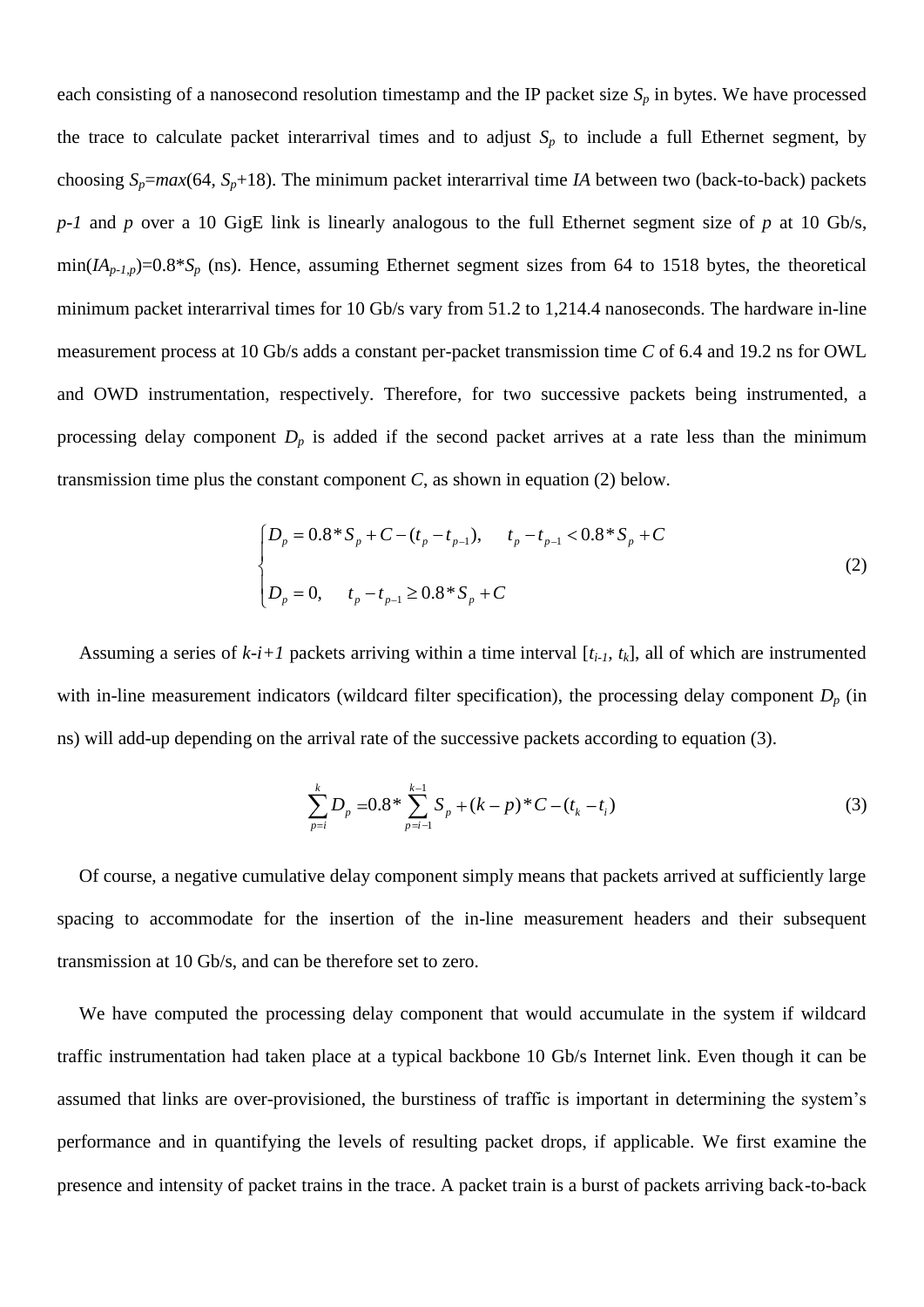each consisting of a nanosecond resolution timestamp and the IP packet size  $S_p$  in bytes. We have processed the trace to calculate packet interarrival times and to adjust  $S_p$  to include a full Ethernet segment, by choosing  $S_p = max(64, S_p + 18)$ . The minimum packet interarrival time *IA* between two (back-to-back) packets *p-1* and *p* over a 10 GigE link is linearly analogous to the full Ethernet segment size of *p* at 10 Gb/s,  $min(I_{A_p,I,p})$ =0.8\**S<sub>p</sub>* (ns). Hence, assuming Ethernet segment sizes from 64 to 1518 bytes, the theoretical minimum packet interarrival times for 10 Gb/s vary from 51.2 to 1,214.4 nanoseconds. The hardware in-line measurement process at 10 Gb/s adds a constant per-packet transmission time *C* of 6.4 and 19.2 ns for OWL and OWD instrumentation, respectively. Therefore, for two successive packets being instrumented, a processing delay component  $D_p$  is added if the second packet arrives at a rate less than the minimum transmission time plus the constant component *C*, as shown in equation (2) below.

$$
\begin{cases}\nD_p = 0.8 * S_p + C - (t_p - t_{p-1}), & t_p - t_{p-1} < 0.8 * S_p + C \\
D_p = 0, & t_p - t_{p-1} \ge 0.8 * S_p + C\n\end{cases}
$$
\n(2)

Assuming a series of  $k-i+1$  packets arriving within a time interval  $[t_i, t_k]$ , all of which are instrumented with in-line measurement indicators (wildcard filter specification), the processing delay component  $D_p$  (in ns) will add-up depending on the arrival rate of the successive packets according to equation (3).

$$
\sum_{p=i}^{k} D_p = 0.8 \times \sum_{p=i-1}^{k-1} S_p + (k-p) \times C - (t_k - t_i)
$$
\n(3)

Of course, a negative cumulative delay component simply means that packets arrived at sufficiently large spacing to accommodate for the insertion of the in-line measurement headers and their subsequent transmission at 10 Gb/s, and can be therefore set to zero.

We have computed the processing delay component that would accumulate in the system if wildcard traffic instrumentation had taken place at a typical backbone 10 Gb/s Internet link. Even though it can be assumed that links are over-provisioned, the burstiness of traffic is important in determining the system"s performance and in quantifying the levels of resulting packet drops, if applicable. We first examine the presence and intensity of packet trains in the trace. A packet train is a burst of packets arriving back-to-back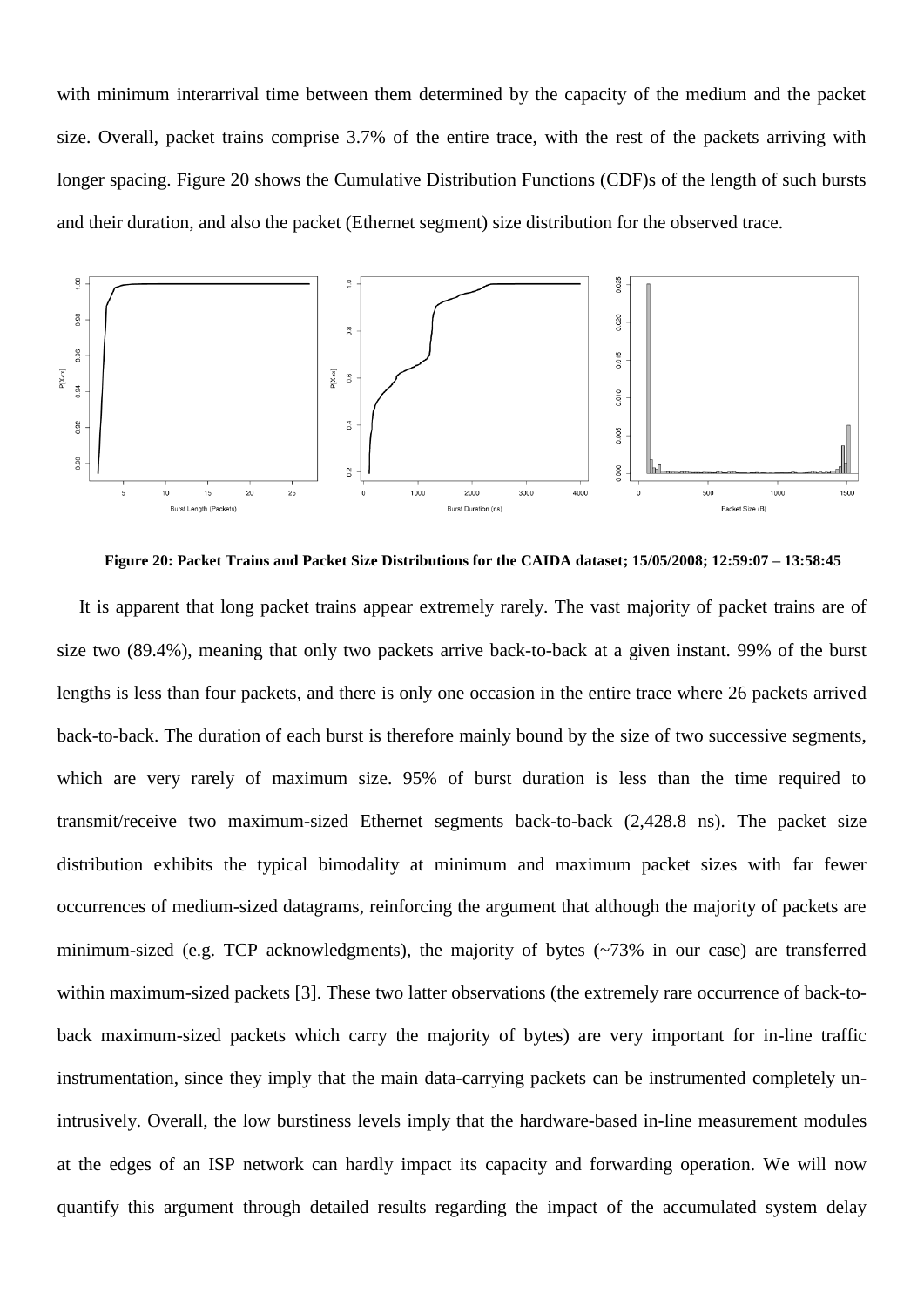with minimum interarrival time between them determined by the capacity of the medium and the packet size. Overall, packet trains comprise 3.7% of the entire trace, with the rest of the packets arriving with longer spacing. Figure 20 shows the Cumulative Distribution Functions (CDF)s of the length of such bursts and their duration, and also the packet (Ethernet segment) size distribution for the observed trace.



<span id="page-33-0"></span>**Figure 20: Packet Trains and Packet Size Distributions for the CAIDA dataset; 15/05/2008; 12:59:07 – 13:58:45**

It is apparent that long packet trains appear extremely rarely. The vast majority of packet trains are of size two (89.4%), meaning that only two packets arrive back-to-back at a given instant. 99% of the burst lengths is less than four packets, and there is only one occasion in the entire trace where 26 packets arrived back-to-back. The duration of each burst is therefore mainly bound by the size of two successive segments, which are very rarely of maximum size. 95% of burst duration is less than the time required to transmit/receive two maximum-sized Ethernet segments back-to-back (2,428.8 ns). The packet size distribution exhibits the typical bimodality at minimum and maximum packet sizes with far fewer occurrences of medium-sized datagrams, reinforcing the argument that although the majority of packets are minimum-sized (e.g. TCP acknowledgments), the majority of bytes (~73% in our case) are transferred within maximum-sized packets [\[3\].](#page-37-20) These two latter observations (the extremely rare occurrence of back-toback maximum-sized packets which carry the majority of bytes) are very important for in-line traffic instrumentation, since they imply that the main data-carrying packets can be instrumented completely unintrusively. Overall, the low burstiness levels imply that the hardware-based in-line measurement modules at the edges of an ISP network can hardly impact its capacity and forwarding operation. We will now quantify this argument through detailed results regarding the impact of the accumulated system delay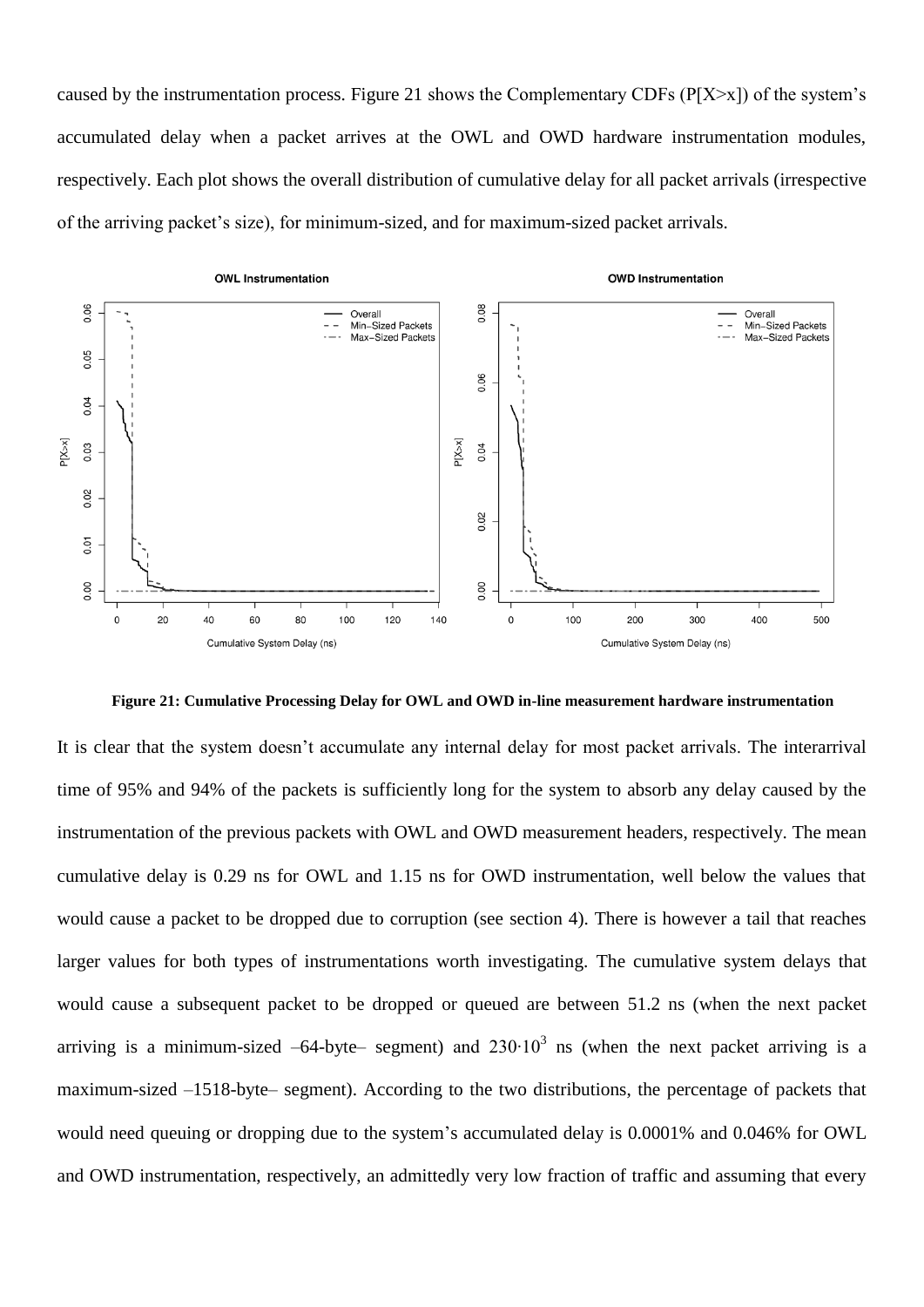caused by the instrumentation process. Figure 21 shows the Complementary CDFs ( $P[X\geq x]$ ) of the system's accumulated delay when a packet arrives at the OWL and OWD hardware instrumentation modules, respectively. Each plot shows the overall distribution of cumulative delay for all packet arrivals (irrespective of the arriving packet"s size), for minimum-sized, and for maximum-sized packet arrivals.



<span id="page-34-0"></span>**Figure 21: Cumulative Processing Delay for OWL and OWD in-line measurement hardware instrumentation**

It is clear that the system doesn"t accumulate any internal delay for most packet arrivals. The interarrival time of 95% and 94% of the packets is sufficiently long for the system to absorb any delay caused by the instrumentation of the previous packets with OWL and OWD measurement headers, respectively. The mean cumulative delay is 0.29 ns for OWL and 1.15 ns for OWD instrumentation, well below the values that would cause a packet to be dropped due to corruption (see section [4\)](#page-25-0). There is however a tail that reaches larger values for both types of instrumentations worth investigating. The cumulative system delays that would cause a subsequent packet to be dropped or queued are between 51.2 ns (when the next packet arriving is a minimum-sized  $-64$ -byte- segment) and  $230 \cdot 10^3$  ns (when the next packet arriving is a maximum-sized –1518-byte– segment). According to the two distributions, the percentage of packets that would need queuing or dropping due to the system's accumulated delay is 0.0001% and 0.046% for OWL and OWD instrumentation, respectively, an admittedly very low fraction of traffic and assuming that every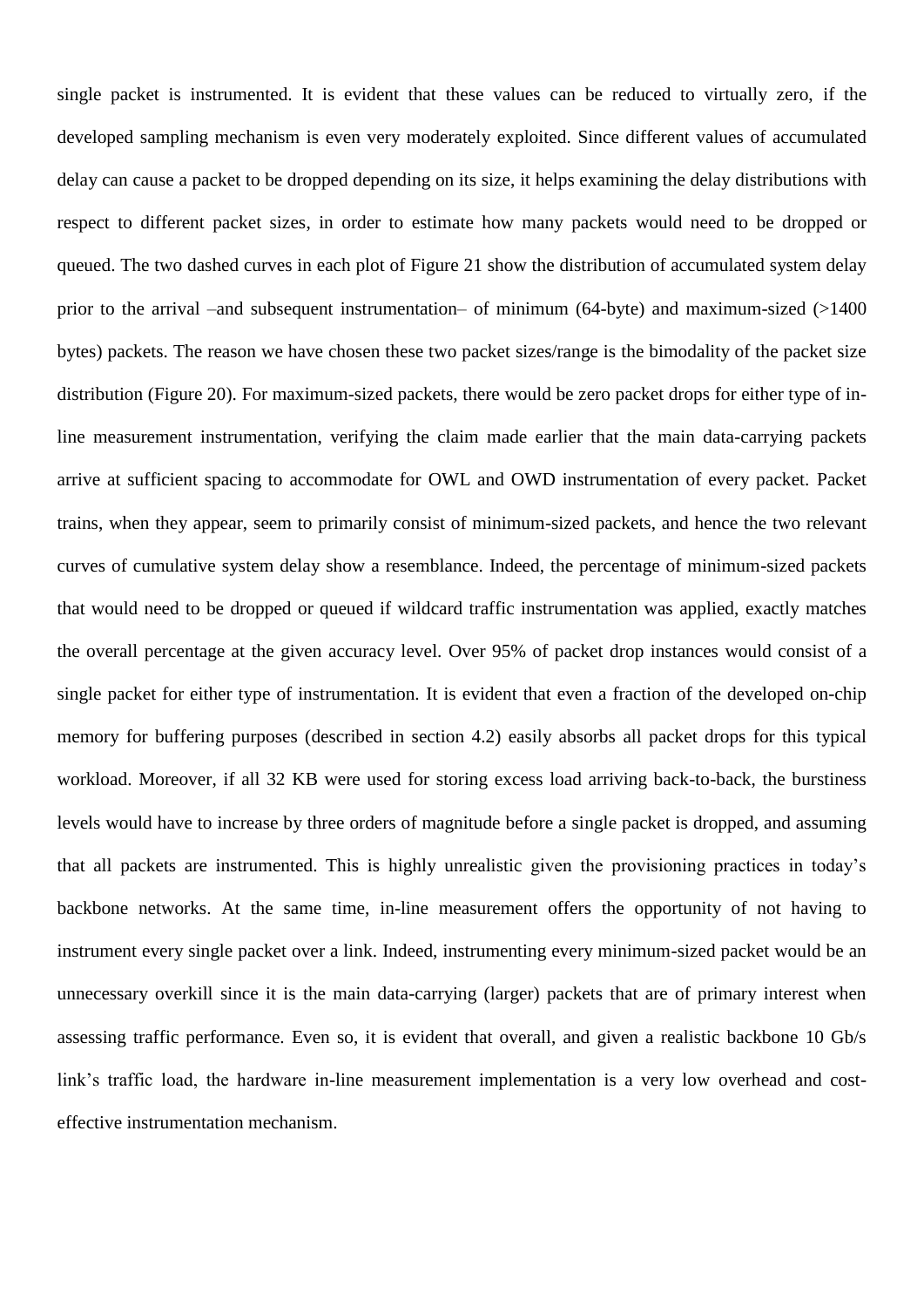single packet is instrumented. It is evident that these values can be reduced to virtually zero, if the developed sampling mechanism is even very moderately exploited. Since different values of accumulated delay can cause a packet to be dropped depending on its size, it helps examining the delay distributions with respect to different packet sizes, in order to estimate how many packets would need to be dropped or queued. The two dashed curves in each plot of [Figure 21](#page-34-0) show the distribution of accumulated system delay prior to the arrival –and subsequent instrumentation– of minimum (64-byte) and maximum-sized (>1400 bytes) packets. The reason we have chosen these two packet sizes/range is the bimodality of the packet size distribution (Figure 20). For maximum-sized packets, there would be zero packet drops for either type of inline measurement instrumentation, verifying the claim made earlier that the main data-carrying packets arrive at sufficient spacing to accommodate for OWL and OWD instrumentation of every packet. Packet trains, when they appear, seem to primarily consist of minimum-sized packets, and hence the two relevant curves of cumulative system delay show a resemblance. Indeed, the percentage of minimum-sized packets that would need to be dropped or queued if wildcard traffic instrumentation was applied, exactly matches the overall percentage at the given accuracy level. Over 95% of packet drop instances would consist of a single packet for either type of instrumentation. It is evident that even a fraction of the developed on-chip memory for buffering purposes (described in section [4.2\)](#page-29-0) easily absorbs all packet drops for this typical workload. Moreover, if all 32 KB were used for storing excess load arriving back-to-back, the burstiness levels would have to increase by three orders of magnitude before a single packet is dropped, and assuming that all packets are instrumented. This is highly unrealistic given the provisioning practices in today"s backbone networks. At the same time, in-line measurement offers the opportunity of not having to instrument every single packet over a link. Indeed, instrumenting every minimum-sized packet would be an unnecessary overkill since it is the main data-carrying (larger) packets that are of primary interest when assessing traffic performance. Even so, it is evident that overall, and given a realistic backbone 10 Gb/s link's traffic load, the hardware in-line measurement implementation is a very low overhead and costeffective instrumentation mechanism.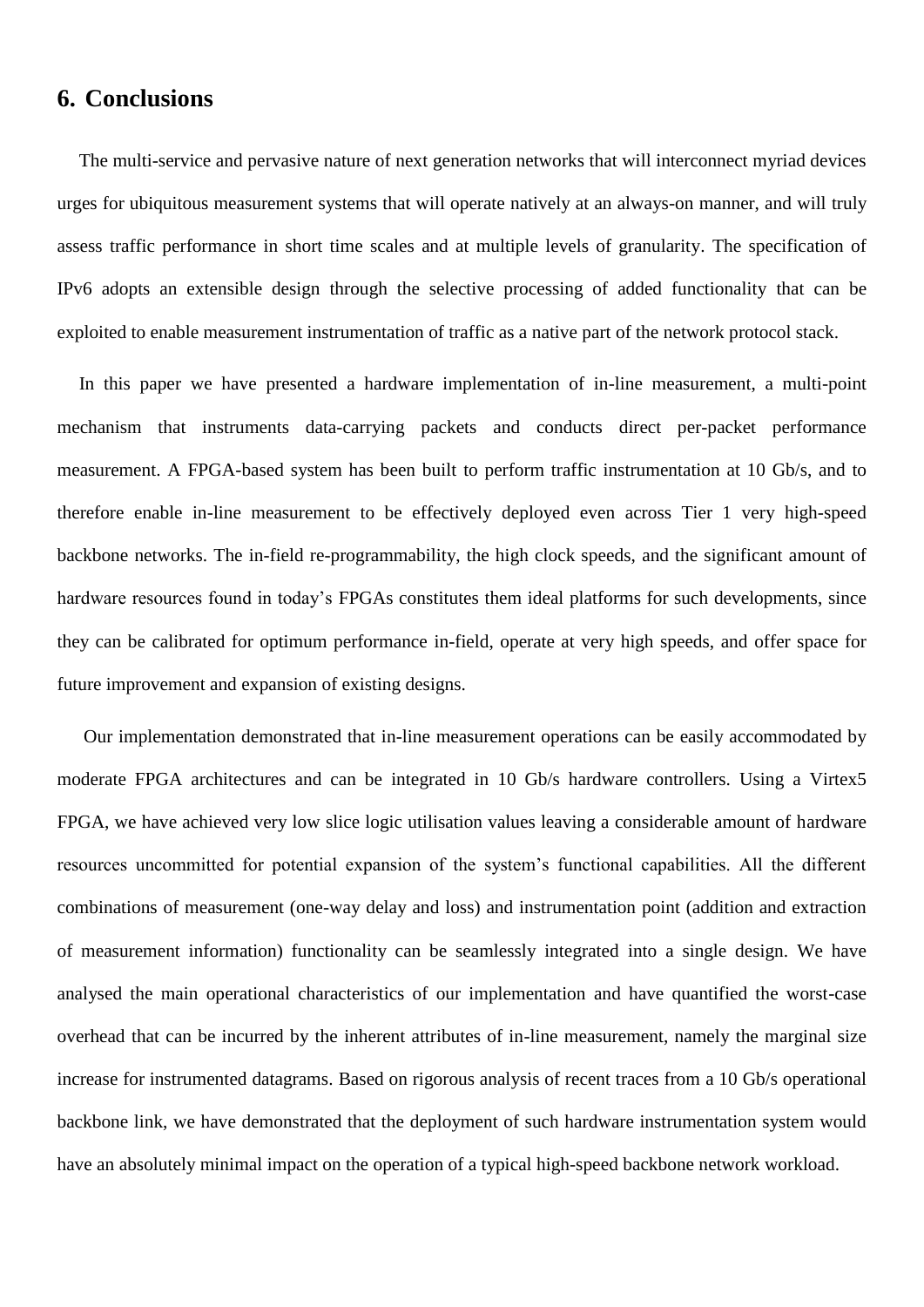# <span id="page-36-0"></span>**6. Conclusions**

The multi-service and pervasive nature of next generation networks that will interconnect myriad devices urges for ubiquitous measurement systems that will operate natively at an always-on manner, and will truly assess traffic performance in short time scales and at multiple levels of granularity. The specification of IPv6 adopts an extensible design through the selective processing of added functionality that can be exploited to enable measurement instrumentation of traffic as a native part of the network protocol stack.

In this paper we have presented a hardware implementation of in-line measurement, a multi-point mechanism that instruments data-carrying packets and conducts direct per-packet performance measurement. A FPGA-based system has been built to perform traffic instrumentation at 10 Gb/s, and to therefore enable in-line measurement to be effectively deployed even across Tier 1 very high-speed backbone networks. The in-field re-programmability, the high clock speeds, and the significant amount of hardware resources found in today's FPGAs constitutes them ideal platforms for such developments, since they can be calibrated for optimum performance in-field, operate at very high speeds, and offer space for future improvement and expansion of existing designs.

Our implementation demonstrated that in-line measurement operations can be easily accommodated by moderate FPGA architectures and can be integrated in 10 Gb/s hardware controllers. Using a Virtex5 FPGA, we have achieved very low slice logic utilisation values leaving a considerable amount of hardware resources uncommitted for potential expansion of the system"s functional capabilities. All the different combinations of measurement (one-way delay and loss) and instrumentation point (addition and extraction of measurement information) functionality can be seamlessly integrated into a single design. We have analysed the main operational characteristics of our implementation and have quantified the worst-case overhead that can be incurred by the inherent attributes of in-line measurement, namely the marginal size increase for instrumented datagrams. Based on rigorous analysis of recent traces from a 10 Gb/s operational backbone link, we have demonstrated that the deployment of such hardware instrumentation system would have an absolutely minimal impact on the operation of a typical high-speed backbone network workload.